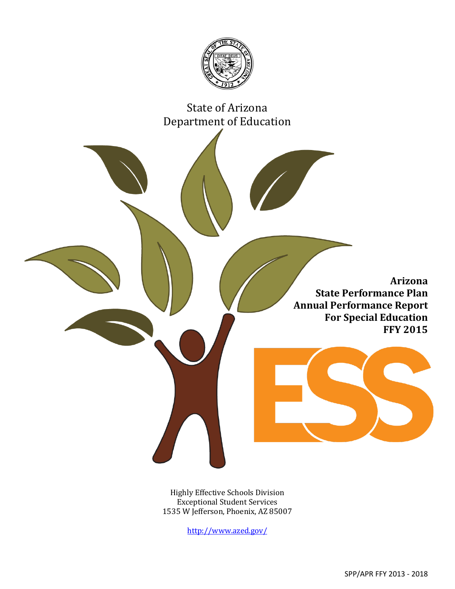

# State of Arizona Department of Education

**Arizona State Performance Plan Annual Performance Report For Special Education FFY 2015**

Highly Effective Schools Division Exceptional Student Services 1535 W Jefferson, Phoenix, AZ 85007

<http://www.azed.gov/>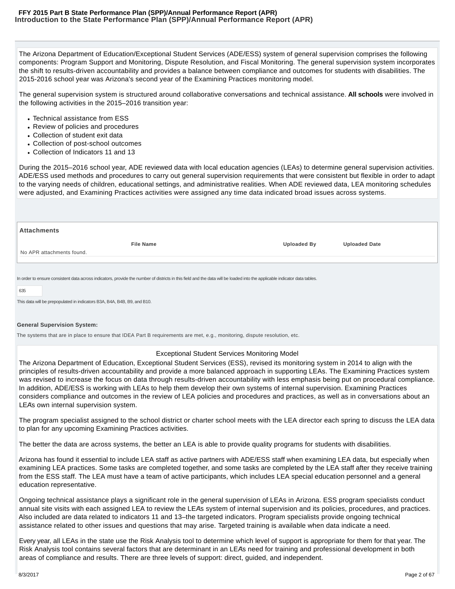The Arizona Department of Education/Exceptional Student Services (ADE/ESS) system of general supervision comprises the following components: Program Support and Monitoring, Dispute Resolution, and Fiscal Monitoring. The general supervision system incorporates the shift to results-driven accountability and provides a balance between compliance and outcomes for students with disabilities. The 2015-2016 school year was Arizona's second year of the Examining Practices monitoring model.

The general supervision system is structured around collaborative conversations and technical assistance. **All schools** were involved in the following activities in the 2015–2016 transition year:

- Technical assistance from ESS
- Review of policies and procedures
- Collection of student exit data
- Collection of post-school outcomes
- Collection of Indicators 11 and 13

During the 2015–2016 school year, ADE reviewed data with local education agencies (LEAs) to determine general supervision activities. ADE/ESS used methods and procedures to carry out general supervision requirements that were consistent but flexible in order to adapt to the varying needs of children, educational settings, and administrative realities. When ADE reviewed data, LEA monitoring schedules were adjusted, and Examining Practices activities were assigned any time data indicated broad issues across systems.

| <b>Attachments</b> |                                                                                                                                                                            |                    |                      |  |  |  |  |  |
|--------------------|----------------------------------------------------------------------------------------------------------------------------------------------------------------------------|--------------------|----------------------|--|--|--|--|--|
|                    | <b>File Name</b>                                                                                                                                                           | <b>Uploaded By</b> | <b>Uploaded Date</b> |  |  |  |  |  |
|                    | No APR attachments found.                                                                                                                                                  |                    |                      |  |  |  |  |  |
|                    |                                                                                                                                                                            |                    |                      |  |  |  |  |  |
|                    | In order to ensure consistent data across indicators, provide the number of districts in this field and the data will be loaded into the applicable indicator data tables. |                    |                      |  |  |  |  |  |
| 635                |                                                                                                                                                                            |                    |                      |  |  |  |  |  |

This data will be prepopulated in indicators B3A, B4A, B4B, B9, and B10.

#### **General Supervision System:**

The systems that are in place to ensure that IDEA Part B requirements are met, e.g., monitoring, dispute resolution, etc.

### Exceptional Student Services Monitoring Model

The Arizona Department of Education, Exceptional Student Services (ESS), revised its monitoring system in 2014 to align with the principles of results-driven accountability and provide a more balanced approach in supporting LEAs. The Examining Practices system was revised to increase the focus on data through results-driven accountability with less emphasis being put on procedural compliance. In addition, ADE/ESS is working with LEAs to help them develop their own systems of internal supervision. Examining Practices considers compliance and outcomes in the review of LEA policies and procedures and practices, as well as in conversations about an LEA's own internal supervision system.

The program specialist assigned to the school district or charter school meets with the LEA director each spring to discuss the LEA data to plan for any upcoming Examining Practices activities.

The better the data are across systems, the better an LEA is able to provide quality programs for students with disabilities.

Arizona has found it essential to include LEA staff as active partners with ADE/ESS staff when examining LEA data, but especially when examining LEA practices. Some tasks are completed together, and some tasks are completed by the LEA staff after they receive training from the ESS staff. The LEA must have a team of active participants, which includes LEA special education personnel and a general education representative.

Ongoing technical assistance plays a significant role in the general supervision of LEAs in Arizona. ESS program specialists conduct annual site visits with each assigned LEA to review the LEA's system of internal supervision and its policies, procedures, and practices. Also included are data related to indicators 11 and 13–the targeted indicators. Program specialists provide ongoing technical assistance related to other issues and questions that may arise. Targeted training is available when data indicate a need.

Every year, all LEAs in the state use the Risk Analysis tool to determine which level of support is appropriate for them for that year. The Risk Analysis tool contains several factors that are determinant in an LEA's need for training and professional development in both areas of compliance and results. There are three levels of support: direct, guided, and independent.<br>8/3/2017 8/3/2017 Page 2 of 67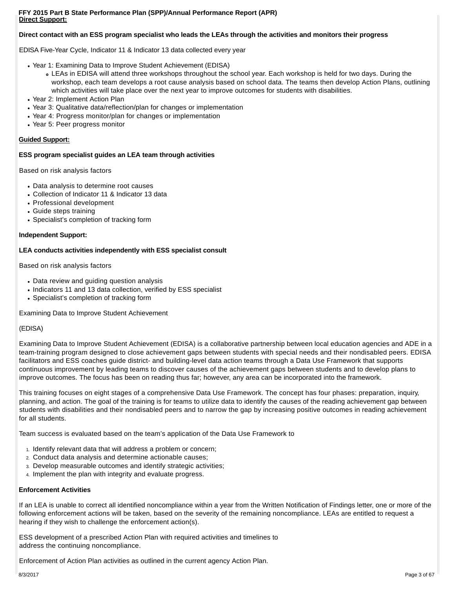# **Direct contact with an ESS program specialist who leads the LEAs through the activities and monitors their progress**

EDISA Five-Year Cycle, Indicator 11 & Indicator 13 data collected every year

- Year 1: Examining Data to Improve Student Achievement (EDISA)
	- LEAs in EDISA will attend three workshops throughout the school year. Each workshop is held for two days. During the workshop, each team develops a root cause analysis based on school data. The teams then develop Action Plans, outlining which activities will take place over the next year to improve outcomes for students with disabilities.
- Year 2: Implement Action Plan
- Year 3: Qualitative data/reflection/plan for changes or implementation
- Year 4: Progress monitor/plan for changes or implementation
- Year 5: Peer progress monitor

# **Guided Support:**

# **ESS program specialist guides an LEA team through activities**

Based on risk analysis factors

- Data analysis to determine root causes
- Collection of Indicator 11 & Indicator 13 data
- Professional development
- Guide steps training
- Specialist's completion of tracking form

# **Independent Support:**

# **LEA conducts activities independently with ESS specialist consult**

Based on risk analysis factors

- Data review and guiding question analysis
- Indicators 11 and 13 data collection, verified by ESS specialist
- Specialist's completion of tracking form

Examining Data to Improve Student Achievement

# (EDISA)

Examining Data to Improve Student Achievement (EDISA) is a collaborative partnership between local education agencies and ADE in a team-training program designed to close achievement gaps between students with special needs and their nondisabled peers. EDISA facilitators and ESS coaches guide district- and building-level data action teams through a Data Use Framework that supports continuous improvement by leading teams to discover causes of the achievement gaps between students and to develop plans to improve outcomes. The focus has been on reading thus far; however, any area can be incorporated into the framework.

This training focuses on eight stages of a comprehensive Data Use Framework. The concept has four phases: preparation, inquiry, planning, and action. The goal of the training is for teams to utilize data to identify the causes of the reading achievement gap between students with disabilities and their nondisabled peers and to narrow the gap by increasing positive outcomes in reading achievement for all students.

Team success is evaluated based on the team's application of the Data Use Framework to

- 1. Identify relevant data that will address a problem or concern;
- 2. Conduct data analysis and determine actionable causes;
- 3. Develop measurable outcomes and identify strategic activities;
- 4. Implement the plan with integrity and evaluate progress.

# **Enforcement Activities**

If an LEA is unable to correct all identified noncompliance within a year from the Written Notification of Findings letter, one or more of the following enforcement actions will be taken, based on the severity of the remaining noncompliance. LEAs are entitled to request a hearing if they wish to challenge the enforcement action(s).

ESS development of a prescribed Action Plan with required activities and timelines to address the continuing noncompliance.

Enforcement of Action Plan activities as outlined in the current agency Action Plan. Bexage 3 of 67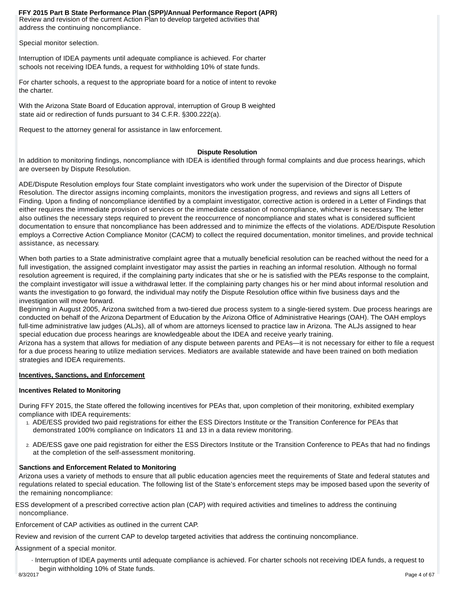Review and revision of the current Action Plan to develop targeted activities that address the continuing noncompliance. **FFY 2015 Part B State Performance Plan (SPP)/Annual Performance Report (APR)**

Special monitor selection.

Interruption of IDEA payments until adequate compliance is achieved. For charter schools not receiving IDEA funds, a request for withholding 10% of state funds.

For charter schools, a request to the appropriate board for a notice of intent to revoke the charter.

With the Arizona State Board of Education approval, interruption of Group B weighted state aid or redirection of funds pursuant to 34 C.F.R. §300.222(a).

Request to the attorney general for assistance in law enforcement.

# **Dispute Resolution**

In addition to monitoring findings, noncompliance with IDEA is identified through formal complaints and due process hearings, which are overseen by Dispute Resolution.

ADE/Dispute Resolution employs four State complaint investigators who work under the supervision of the Director of Dispute Resolution. The director assigns incoming complaints, monitors the investigation progress, and reviews and signs all Letters of Finding. Upon a finding of noncompliance identified by a complaint investigator, corrective action is ordered in a Letter of Findings that either requires the immediate provision of services or the immediate cessation of noncompliance, whichever is necessary. The letter also outlines the necessary steps required to prevent the reoccurrence of noncompliance and states what is considered sufficient documentation to ensure that noncompliance has been addressed and to minimize the effects of the violations. ADE/Dispute Resolution employs a Corrective Action Compliance Monitor (CACM) to collect the required documentation, monitor timelines, and provide technical assistance, as necessary.

When both parties to a State administrative complaint agree that a mutually beneficial resolution can be reached without the need for a full investigation, the assigned complaint investigator may assist the parties in reaching an informal resolution. Although no formal resolution agreement is required, if the complaining party indicates that she or he is satisfied with the PEA's response to the complaint, the complaint investigator will issue a withdrawal letter. If the complaining party changes his or her mind about informal resolution and wants the investigation to go forward, the individual may notify the Dispute Resolution office within five business days and the investigation will move forward.

Beginning in August 2005, Arizona switched from a two-tiered due process system to a single-tiered system. Due process hearings are conducted on behalf of the Arizona Department of Education by the Arizona Office of Administrative Hearings (OAH). The OAH employs full-time administrative law judges (ALJs), all of whom are attorneys licensed to practice law in Arizona. The ALJs assigned to hear special education due process hearings are knowledgeable about the IDEA and receive yearly training.

Arizona has a system that allows for mediation of any dispute between parents and PEAs—it is not necessary for either to file a request for a due process hearing to utilize mediation services. Mediators are available statewide and have been trained on both mediation strategies and IDEA requirements.

# **Incentives, Sanctions, and Enforcement**

# **Incentives Related to Monitoring**

During FFY 2015, the State offered the following incentives for PEAs that, upon completion of their monitoring, exhibited exemplary compliance with IDEA requirements:

- 1. ADE/ESS provided two paid registrations for either the ESS Directors Institute or the Transition Conference for PEAs that demonstrated 100% compliance on Indicators 11 and 13 in a data review monitoring.
- ADE/ESS gave one paid registration for either the ESS Directors Institute or the Transition Conference to PEAs that had no findings 2. at the completion of the self-assessment monitoring.

# **Sanctions and Enforcement Related to Monitoring**

Arizona uses a variety of methods to ensure that all public education agencies meet the requirements of State and federal statutes and regulations related to special education. The following list of the State's enforcement steps may be imposed based upon the severity of the remaining noncompliance:

ESS development of a prescribed corrective action plan (CAP) with required activities and timelines to address the continuing noncompliance.

Enforcement of CAP activities as outlined in the current CAP.

Review and revision of the current CAP to develop targeted activities that address the continuing noncompliance.

Assignment of a special monitor.

<sub>s/3</sub>Jฏterruption of IDEA payments until adequate compliance is achieved. For charter schools not re*ceeiving* IDEA funds, a request to begin withholding 10% of State funds.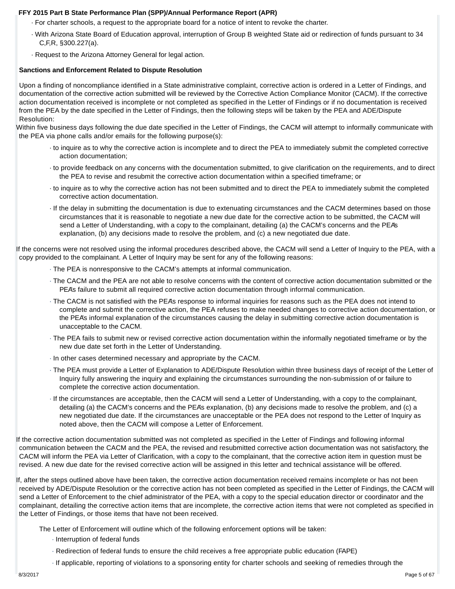- · For charter schools, a request to the appropriate board for a notice of intent to revoke the charter.
- · With Arizona State Board of Education approval, interruption of Group B weighted State aid or redirection of funds pursuant to 34 C,F,R, §300.227(a).
- · Request to the Arizona Attorney General for legal action.

# **Sanctions and Enforcement Related to Dispute Resolution**

Upon a finding of noncompliance identified in a State administrative complaint, corrective action is ordered in a Letter of Findings, and documentation of the corrective action submitted will be reviewed by the Corrective Action Compliance Monitor (CACM). If the corrective action documentation received is incomplete or not completed as specified in the Letter of Findings or if no documentation is received from the PEA by the date specified in the Letter of Findings, then the following steps will be taken by the PEA and ADE/Dispute Resolution:

Within five business days following the due date specified in the Letter of Findings, the CACM will attempt to informally communicate with the PEA via phone calls and/or emails for the following purpose(s):

- · to inquire as to why the corrective action is incomplete and to direct the PEA to immediately submit the completed corrective action documentation;
- · to provide feedback on any concerns with the documentation submitted, to give clarification on the requirements, and to direct the PEA to revise and resubmit the corrective action documentation within a specified timeframe; or
- · to inquire as to why the corrective action has not been submitted and to direct the PEA to immediately submit the completed corrective action documentation.
- · If the delay in submitting the documentation is due to extenuating circumstances and the CACM determines based on those circumstances that it is reasonable to negotiate a new due date for the corrective action to be submitted, the CACM will send a Letter of Understanding, with a copy to the complainant, detailing (a) the CACM's concerns and the PEA's explanation, (b) any decisions made to resolve the problem, and (c) a new negotiated due date.

If the concerns were not resolved using the informal procedures described above, the CACM will send a Letter of Inquiry to the PEA, with a copy provided to the complainant. A Letter of Inquiry may be sent for any of the following reasons:

- · The PEA is nonresponsive to the CACM's attempts at informal communication.
- · The CACM and the PEA are not able to resolve concerns with the content of corrective action documentation submitted or the PEA's failure to submit all required corrective action documentation through informal communication.
- · The CACM is not satisfied with the PEA's response to informal inquiries for reasons such as the PEA does not intend to complete and submit the corrective action, the PEA refuses to make needed changes to corrective action documentation, or the PEA's informal explanation of the circumstances causing the delay in submitting corrective action documentation is unacceptable to the CACM.
- · The PEA fails to submit new or revised corrective action documentation within the informally negotiated timeframe or by the new due date set forth in the Letter of Understanding.
- · In other cases determined necessary and appropriate by the CACM.
- · The PEA must provide a Letter of Explanation to ADE/Dispute Resolution within three business days of receipt of the Letter of Inquiry fully answering the inquiry and explaining the circumstances surrounding the non-submission of or failure to complete the corrective action documentation.
- · If the circumstances are acceptable, then the CACM will send a Letter of Understanding, with a copy to the complainant, detailing (a) the CACM's concerns and the PEA's explanation, (b) any decisions made to resolve the problem, and (c) a new negotiated due date. If the circumstances are unacceptable or the PEA does not respond to the Letter of Inquiry as noted above, then the CACM will compose a Letter of Enforcement.

If the corrective action documentation submitted was not completed as specified in the Letter of Findings and following informal communication between the CACM and the PEA, the revised and resubmitted corrective action documentation was not satisfactory, the CACM will inform the PEA via Letter of Clarification, with a copy to the complainant, that the corrective action item in question must be revised. A new due date for the revised corrective action will be assigned in this letter and technical assistance will be offered.

If, after the steps outlined above have been taken, the corrective action documentation received remains incomplete or has not been received by ADE/Dispute Resolution or the corrective action has not been completed as specified in the Letter of Findings, the CACM will send a Letter of Enforcement to the chief administrator of the PEA, with a copy to the special education director or coordinator and the complainant, detailing the corrective action items that are incomplete, the corrective action items that were not completed as specified in the Letter of Findings, or those items that have not been received.

The Letter of Enforcement will outline which of the following enforcement options will be taken:

- · Interruption of federal funds
- · Redirection of federal funds to ensure the child receives a free appropriate public education (FAPE)
- 8/3/2017 · If applicable, reporting of violations to a sponsoring entity for charter schools and seeking of remedies through the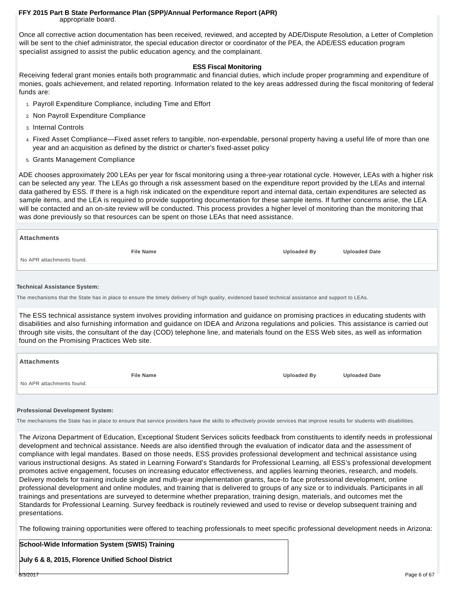appropriate board.

Once all corrective action documentation has been received, reviewed, and accepted by ADE/Dispute Resolution, a Letter of Completion will be sent to the chief administrator, the special education director or coordinator of the PEA, the ADE/ESS education program specialist assigned to assist the public education agency, and the complainant.

# **ESS Fiscal Monitoring**

Receiving federal grant monies entails both programmatic and financial duties, which include proper programming and expenditure of monies, goals achievement, and related reporting. Information related to the key areas addressed during the fiscal monitoring of federal funds are:

- 1. Payroll Expenditure Compliance, including Time and Effort
- 2. Non Payroll Expenditure Compliance
- 3. Internal Controls
- Fixed Asset Compliance—Fixed asset refers to tangible, non-expendable, personal property having a useful life of more than one 4. year and an acquisition as defined by the district or charter's fixed-asset policy
- 5. Grants Management Compliance

ADE chooses approximately 200 LEAs per year for fiscal monitoring using a three-year rotational cycle. However, LEAs with a higher risk can be selected any year. The LEAs go through a risk assessment based on the expenditure report provided by the LEAs and internal data gathered by ESS. If there is a high risk indicated on the expenditure report and internal data, certain expenditures are selected as sample items, and the LEA is required to provide supporting documentation for these sample items. If further concerns arise, the LEA will be contacted and an on-site review will be conducted. This process provides a higher level of monitoring than the monitoring that was done previously so that resources can be spent on those LEAs that need assistance.

| <b>Attachments</b>        |                  |                    |                      |
|---------------------------|------------------|--------------------|----------------------|
|                           | <b>File Name</b> | <b>Uploaded By</b> | <b>Uploaded Date</b> |
| No APR attachments found. |                  |                    |                      |
|                           |                  |                    |                      |

#### **Technical Assistance System:**

The mechanisms that the State has in place to ensure the timely delivery of high quality, evidenced based technical assistance and support to LEAs.

The ESS technical assistance system involves providing information and guidance on promising practices in educating students with disabilities and also furnishing information and guidance on IDEA and Arizona regulations and policies. This assistance is carried out through site visits, the consultant of the day (COD) telephone line, and materials found on the ESS Web sites, as well as information found on the Promising Practices Web site.

| ∣ Attachments             |                  |                    |                      |
|---------------------------|------------------|--------------------|----------------------|
| No APR attachments found. | <b>File Name</b> | <b>Uploaded By</b> | <b>Uploaded Date</b> |
|                           |                  |                    |                      |

#### **Professional Development System:**

The mechanisms the State has in place to ensure that service providers have the skills to effectively provide services that improve results for students with disabilities.

The Arizona Department of Education, Exceptional Student Services solicits feedback from constituents to identify needs in professional development and technical assistance. Needs are also identified through the evaluation of indicator data and the assessment of compliance with legal mandates. Based on those needs, ESS provides professional development and technical assistance using various instructional designs. As stated in Learning Forward's Standards for Professional Learning, all ESS's professional development promotes active engagement, focuses on increasing educator effectiveness, and applies learning theories, research, and models. Delivery models for training include single and multi-year implementation grants, face-to face professional development, online professional development and online modules, and training that is delivered to groups of any size or to individuals. Participants in all trainings and presentations are surveyed to determine whether preparation, training design, materials, and outcomes met the Standards for Professional Learning. Survey feedback is routinely reviewed and used to revise or develop subsequent training and presentations.

The following training opportunities were offered to teaching professionals to meet specific professional development needs in Arizona:

# **School-Wide Information System (SWIS) Training**

**July 6 & 8, 2015, Florence Unified School District Results and School Page 6 of 67** Page 6 of 67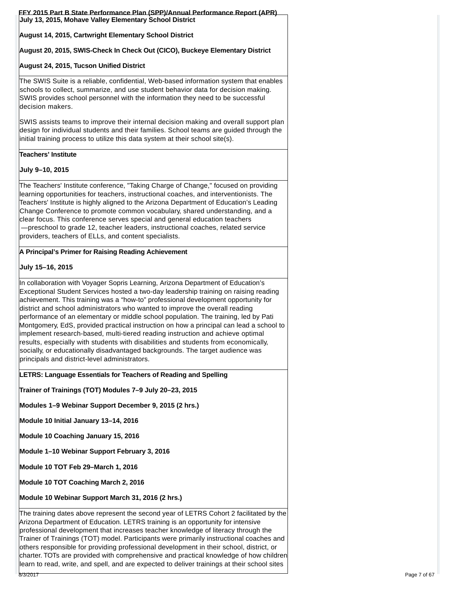| July 13, 2015, Mohave Valley Elementary School District                                                                                                                                                                                                                                                                                                                                                                                                                                                                                                                                                                                                                                                                                                                                                                                     |
|---------------------------------------------------------------------------------------------------------------------------------------------------------------------------------------------------------------------------------------------------------------------------------------------------------------------------------------------------------------------------------------------------------------------------------------------------------------------------------------------------------------------------------------------------------------------------------------------------------------------------------------------------------------------------------------------------------------------------------------------------------------------------------------------------------------------------------------------|
| August 14, 2015, Cartwright Elementary School District                                                                                                                                                                                                                                                                                                                                                                                                                                                                                                                                                                                                                                                                                                                                                                                      |
| August 20, 2015, SWIS-Check In Check Out (CICO), Buckeye Elementary District                                                                                                                                                                                                                                                                                                                                                                                                                                                                                                                                                                                                                                                                                                                                                                |
| August 24, 2015, Tucson Unified District                                                                                                                                                                                                                                                                                                                                                                                                                                                                                                                                                                                                                                                                                                                                                                                                    |
| The SWIS Suite is a reliable, confidential, Web-based information system that enables<br>schools to collect, summarize, and use student behavior data for decision making.<br>SWIS provides school personnel with the information they need to be successful<br>decision makers.                                                                                                                                                                                                                                                                                                                                                                                                                                                                                                                                                            |
| SWIS assists teams to improve their internal decision making and overall support plan<br>design for individual students and their families. School teams are guided through the<br> initial training process to utilize this data system at their school site(s).<br> initial training process to utilize this data system at                                                                                                                                                                                                                                                                                                                                                                                                                                                                                                               |
| Teachers' Institute                                                                                                                                                                                                                                                                                                                                                                                                                                                                                                                                                                                                                                                                                                                                                                                                                         |
| July 9-10, 2015                                                                                                                                                                                                                                                                                                                                                                                                                                                                                                                                                                                                                                                                                                                                                                                                                             |
| The Teachers' Institute conference, "Taking Charge of Change," focused on providing<br>learning opportunities for teachers, instructional coaches, and interventionists. The<br>Teachers' Institute is highly aligned to the Arizona Department of Education's Leading<br>Change Conference to promote common vocabulary, shared understanding, and a<br>clear focus. This conference serves special and general education teachers<br>-preschool to grade 12, teacher leaders, instructional coaches, related service<br>providers, teachers of ELLs, and content specialists.                                                                                                                                                                                                                                                             |
| A Principal's Primer for Raising Reading Achievement                                                                                                                                                                                                                                                                                                                                                                                                                                                                                                                                                                                                                                                                                                                                                                                        |
| July 15–16, 2015                                                                                                                                                                                                                                                                                                                                                                                                                                                                                                                                                                                                                                                                                                                                                                                                                            |
| In collaboration with Voyager Sopris Learning, Arizona Department of Education's<br>Exceptional Student Services hosted a two-day leadership training on raising reading<br>achievement. This training was a "how-to" professional development opportunity for<br>district and school administrators who wanted to improve the overall reading<br>performance of an elementary or middle school population. The training, led by Pati<br>Montgomery, EdS, provided practical instruction on how a principal can lead a school to<br>implement research-based, multi-tiered reading instruction and achieve optimal<br>results, especially with students with disabilities and students from economically,<br>socially, or educationally disadvantaged backgrounds. The target audience was<br>principals and district-level administrators. |
| LETRS: Language Essentials for Teachers of Reading and Spelling                                                                                                                                                                                                                                                                                                                                                                                                                                                                                                                                                                                                                                                                                                                                                                             |
| Trainer of Trainings (TOT) Modules 7-9 July 20-23, 2015                                                                                                                                                                                                                                                                                                                                                                                                                                                                                                                                                                                                                                                                                                                                                                                     |
| Modules 1-9 Webinar Support December 9, 2015 (2 hrs.)                                                                                                                                                                                                                                                                                                                                                                                                                                                                                                                                                                                                                                                                                                                                                                                       |
| Module 10 Initial January 13-14, 2016                                                                                                                                                                                                                                                                                                                                                                                                                                                                                                                                                                                                                                                                                                                                                                                                       |
| Module 10 Coaching January 15, 2016                                                                                                                                                                                                                                                                                                                                                                                                                                                                                                                                                                                                                                                                                                                                                                                                         |
| Module 1-10 Webinar Support February 3, 2016                                                                                                                                                                                                                                                                                                                                                                                                                                                                                                                                                                                                                                                                                                                                                                                                |
| Module 10 TOT Feb 29-March 1, 2016                                                                                                                                                                                                                                                                                                                                                                                                                                                                                                                                                                                                                                                                                                                                                                                                          |
| Module 10 TOT Coaching March 2, 2016                                                                                                                                                                                                                                                                                                                                                                                                                                                                                                                                                                                                                                                                                                                                                                                                        |
| Module 10 Webinar Support March 31, 2016 (2 hrs.)                                                                                                                                                                                                                                                                                                                                                                                                                                                                                                                                                                                                                                                                                                                                                                                           |
| The training dates above represent the second year of LETRS Cohort 2 facilitated by the<br>Arizona Department of Education. LETRS training is an opportunity for intensive<br>professional development that increases teacher knowledge of literacy through the<br>Trainer of Trainings (TOT) model. Participants were primarily instructional coaches and<br>others responsible for providing professional development in their school, district, or<br>charter. TOTs are provided with comprehensive and practical knowledge of how children                                                                                                                                                                                                                                                                                              |

lea $n$ <sup>2</sup>0<sup>7</sup> read, write, and spell, and are expected to deliver trainings at their school sites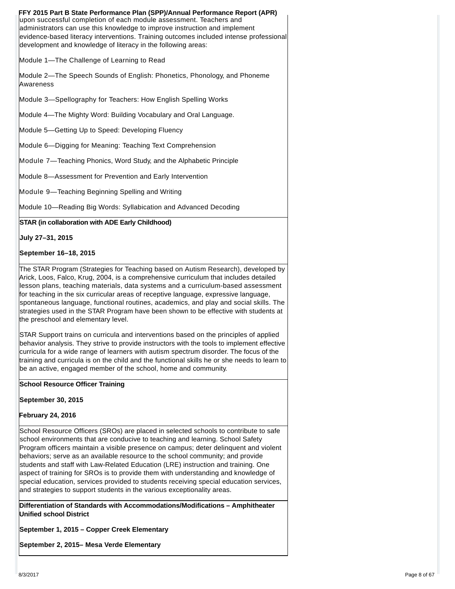| FFY 2015 Part B State Performance Plan (SPP)/Annual Performance Report (APR)<br>upon successful completion of each module assessment. Teachers and<br>administrators can use this knowledge to improve instruction and implement<br>evidence-based literacy interventions. Training outcomes included intense professional<br>development and knowledge of literacy in the following areas: |
|---------------------------------------------------------------------------------------------------------------------------------------------------------------------------------------------------------------------------------------------------------------------------------------------------------------------------------------------------------------------------------------------|
| Module 1-The Challenge of Learning to Read                                                                                                                                                                                                                                                                                                                                                  |
| Module 2—The Speech Sounds of English: Phonetics, Phonology, and Phoneme<br>Awareness                                                                                                                                                                                                                                                                                                       |
| Module 3—Spellography for Teachers: How English Spelling Works                                                                                                                                                                                                                                                                                                                              |
| Module 4—The Mighty Word: Building Vocabulary and Oral Language.                                                                                                                                                                                                                                                                                                                            |
| Module 5-Getting Up to Speed: Developing Fluency                                                                                                                                                                                                                                                                                                                                            |
| Module 6-Digging for Meaning: Teaching Text Comprehension                                                                                                                                                                                                                                                                                                                                   |
| Module 7—Teaching Phonics, Word Study, and the Alphabetic Principle                                                                                                                                                                                                                                                                                                                         |
| Module 8-Assessment for Prevention and Early Intervention                                                                                                                                                                                                                                                                                                                                   |
| Module 9-Teaching Beginning Spelling and Writing                                                                                                                                                                                                                                                                                                                                            |
| Module 10—Reading Big Words: Syllabication and Advanced Decoding                                                                                                                                                                                                                                                                                                                            |
| STAR (in collaboration with ADE Early Childhood)                                                                                                                                                                                                                                                                                                                                            |

**July 27–31, 2015**

# **September 16–18, 2015**

The STAR Program (Strategies for Teaching based on Autism Research), developed by Arick, Loos, Falco, Krug, 2004, is a comprehensive curriculum that includes detailed lesson plans, teaching materials, data systems and a curriculum-based assessment for teaching in the six curricular areas of receptive language, expressive language, spontaneous language, functional routines, academics, and play and social skills. The strategies used in the STAR Program have been shown to be effective with students at the preschool and elementary level.

STAR Support trains on curricula and interventions based on the principles of applied behavior analysis. They strive to provide instructors with the tools to implement effective curricula for a wide range of learners with autism spectrum disorder. The focus of the training and curricula is on the child and the functional skills he or she needs to learn to be an active, engaged member of the school, home and community.

# **School Resource Officer Training**

### **September 30, 2015**

# **February 24, 2016**

School Resource Officers (SROs) are placed in selected schools to contribute to safe school environments that are conducive to teaching and learning. School Safety Program officers maintain a visible presence on campus; deter delinquent and violent behaviors; serve as an available resource to the school community; and provide students and staff with Law-Related Education (LRE) instruction and training. One aspect of training for SROs is to provide them with understanding and knowledge of special education, services provided to students receiving special education services, and strategies to support students in the various exceptionality areas.

**Differentiation of Standards with Accommodations/Modifications – Amphitheater Unified school District**

**September 1, 2015 – Copper Creek Elementary**

**September 2, 2015– Mesa Verde Elementary**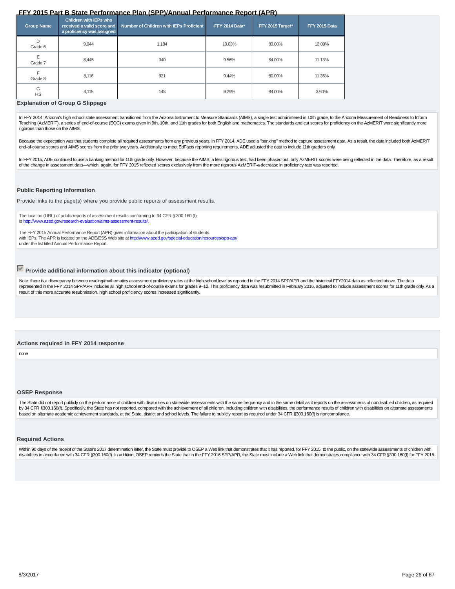# **State of Arizona Department of Education**

Arizon a State Performance Plan Annual Performance Report **For Special Education FFY 2015** 

**Highly Effective Schools Division Exceptional Student Services** 1535 W Jefferson, Phoenix, AZ 85007

http://www.azed.gov/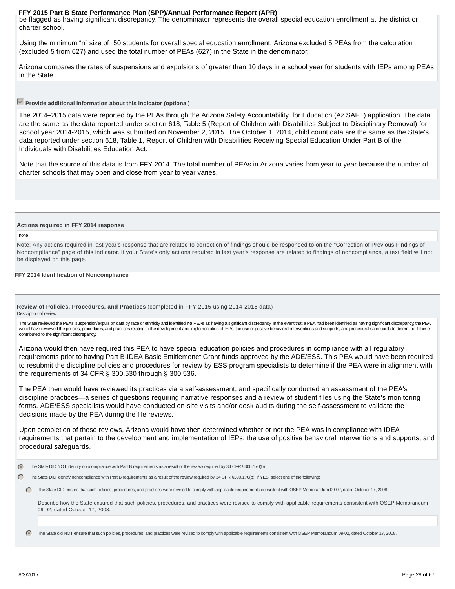be flagged as having significant discrepancy. The denominator represents the overall special education enrollment at the district or charter school.

Using the minimum "n" size of 50 students for overall special education enrollment, Arizona excluded 5 PEAs from the calculation (excluded 5 from 627) and used the total number of PEAs (627) in the State in the denominator.

Arizona compares the rates of suspensions and expulsions of greater than 10 days in a school year for students with IEPs among PEAs in the State.

# **Provide additional information about this indicator (optional)**

The 2014–2015 data were reported by the PEAs through the Arizona Safety Accountability for Education (Az SAFE) application. The data are the same as the data reported under section 618, Table 5 (Report of Children with Disabilities Subject to Disciplinary Removal) for school year 2014-2015, which was submitted on November 2, 2015. The October 1, 2014, child count data are the same as the State's data reported under section 618, Table 1, Report of Children with Disabilities Receiving Special Education Under Part B of the Individuals with Disabilities Education Act.

Note that the source of this data is from FFY 2014. The total number of PEAs in Arizona varies from year to year because the number of charter schools that may open and close from year to year varies.

#### **Actions required in FFY 2014 response**

none

Note: Any actions required in last year's response that are related to correction of findings should be responded to on the "Correction of Previous Findings of Noncompliance" page of this indicator. If your State's only actions required in last year's response are related to findings of noncompliance, a text field will not be displayed on this page.

#### **FFY 2014 Identification of Noncompliance**

**Review of Policies, Procedures, and Practices** (completed in FFY 2015 using 2014-2015 data) Description of review

The State reviewed the PEAs' suspension/expulsion data by race or ethnicity and identified no PEAs as having a significant discrepancy. In the event that a PEA had been identified as having significant discrepancy, the PEA would have reviewed the policies, procedures, and practices relating to the development and implementation of IEPs, the use of positive behavioral interventions and supports, and procedural safeguards to determine if these contributed to the significant discrepancy.

Arizona would then have required this PEA to have special education policies and procedures in compliance with all regulatory requirements prior to having Part B-IDEA Basic Entitlemenet Grant funds approved by the ADE/ESS. This PEA would have been required to resubmit the discipline policies and procedures for review by ESS program specialists to determine if the PEA were in alignment with the requirements of 34 CFR § 300.530 through § 300.536.

The PEA then would have reviewed its practices via a self-assessment, and specifically conducted an assessment of the PEA's discipline practices—a series of questions requiring narrative responses and a review of student files using the State's monitoring forms. ADE/ESS specialists would have conducted on-site visits and/or desk audits during the self-assessment to validate the decisions made by the PEA during the file reviews.

Upon completion of these reviews, Arizona would have then determined whether or not the PEA was in compliance with IDEA requirements that pertain to the development and implementation of IEPs, the use of positive behavioral interventions and supports, and procedural safeguards.

The State DID NOT identify noncompliance with Part B requirements as a result of the review required by 34 CFR §300.170(b)

C The State DID identify noncompliance with Part B requirements as a result of the review required by 34 CFR §300.170(b). If YES, select one of the following:

The State DID ensure that such policies, procedures, and practices were revised to comply with applicable requirements consistent with OSEP Memorandum 09-02, dated October 17, 2008.

Describe how the State ensured that such policies, procedures, and practices were revised to comply with applicable requirements consistent with OSEP Memorandum 09-02, dated October 17, 2008.

The State did NOT ensure that such policies, procedures, and practices were revised to comply with applicable requirements consistent with OSEP Memorandum 09-02, dated October 17, 2008.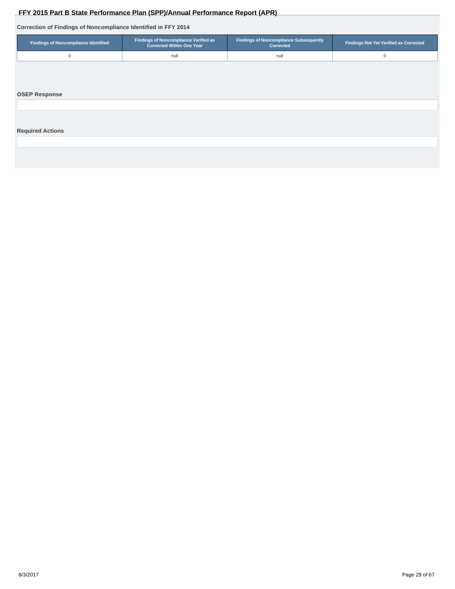# **Correction of Findings of Noncompliance Identified in FFY 2014**

<span id="page-28-0"></span>

| FFY 2015 Part B State Performance Plan (SPP)/Annual Performance Report (APR) |                                                                           |                                                            |                                               |  |  |  |  |  |  |
|------------------------------------------------------------------------------|---------------------------------------------------------------------------|------------------------------------------------------------|-----------------------------------------------|--|--|--|--|--|--|
| Correction of Findings of Noncompliance Identified in FFY 2014               |                                                                           |                                                            |                                               |  |  |  |  |  |  |
| <b>Findings of Noncompliance Identified</b>                                  | Findings of Noncompliance Verified as<br><b>Corrected Within One Year</b> | <b>Findings of Noncompliance Subsequently</b><br>Corrected | <b>Findings Not Yet Verified as Corrected</b> |  |  |  |  |  |  |
| $\mathbf 0$                                                                  | null                                                                      | null                                                       | 0                                             |  |  |  |  |  |  |
| <b>OSEP Response</b>                                                         |                                                                           |                                                            |                                               |  |  |  |  |  |  |
| <b>Required Actions</b>                                                      |                                                                           |                                                            |                                               |  |  |  |  |  |  |
|                                                                              |                                                                           |                                                            |                                               |  |  |  |  |  |  |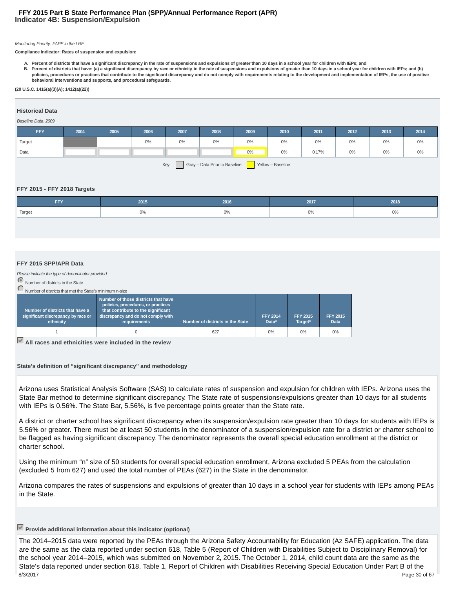# **Indicator 4B: Suspension/Expulsion FFY 2015 Part B State Performance Plan (SPP)/Annual Performance Report (APR)**

#### Monitoring Priority: FAPE in the LRE

**Compliance indicator: Rates of suspension and expulsion:**

**A. Percent of districts that have a significant discrepancy in the rate of suspensions and expulsions of greater than 10 days in a school year for children with IEPs; and**

**Percent of districts that have: (a) a significant discrepancy, by race or ethnicity, in the rate of suspensions and expulsions of greater than 10 days in a school year for children with IEPs; and (b) B. policies, procedures or practices that contribute to the significant discrepancy and do not comply with requirements relating to the development and implementation of IEPs, the use of positive behavioral interventions and supports, and procedural safeguards.**

#### **(20 U.S.C. 1416(a)(3)(A); 1412(a)(22))**

### **Historical Data**

#### Baseline Data: 2009

| FFY    | 2004 | 2005 | 2006 | 2007  | 2008  | 2009 | 2010  | 2011  | 2012 | 2013 | 2014  |
|--------|------|------|------|-------|-------|------|-------|-------|------|------|-------|
| Target |      |      | 0%   | $0\%$ | $0\%$ | 0%   | $0\%$ | 0%    | 0%   | 0%   | $0\%$ |
| Data   |      |      |      |       |       | 0%   | 0%    | 0.17% | 0%   | 0%   | 0%    |
|        |      |      |      |       |       |      |       |       |      |      |       |

Key: Gray – Data Prior to Baseline Yellow – Baseline

#### **FFY 2015 - FFY 2018 Targets**

| <b>EEV</b><br>. . | 2015         | 2016 | 201 | 2018  |
|-------------------|--------------|------|-----|-------|
| Target            | $\sim$<br>U% | U%   | 0%  | $0\%$ |

#### **FFY 2015 SPP/APR Data**

Please indicate the type of denominator provided

Number of districts in the State

Number of districts that met the State's minimum n-size

| Number of districts that have a<br>significant discrepancy, by race or<br>ethnicity | Number of those districts that have<br>policies, procedures, or practices<br>that contribute to the significant<br>discrepancy and do not comply with<br>requirements | Number of districts in the State | <b>FFY 2014</b><br>Data* | <b>FFY 2015</b><br>Target* | <b>FFY 2015</b><br><b>Data</b> |
|-------------------------------------------------------------------------------------|-----------------------------------------------------------------------------------------------------------------------------------------------------------------------|----------------------------------|--------------------------|----------------------------|--------------------------------|
|                                                                                     |                                                                                                                                                                       | 627                              | 0%                       | 0%                         | 0%                             |

**All races and ethnicities were included in the review**

**State's definition of "significant discrepancy" and methodology**

Arizona uses Statistical Analysis Software (SAS) to calculate rates of suspension and expulsion for children with IEPs. Arizona uses the State Bar method to determine significant discrepancy. The State rate of suspensions/expulsions greater than 10 days for all students with IEPs is 0.56%. The State Bar, 5.56%, is five percentage points greater than the State rate.

A district or charter school has significant discrepancy when its suspension/expulsion rate greater than 10 days for students with IEPs is 5.56% or greater. There must be at least 50 students in the denominator of a suspension/expulsion rate for a district or charter school to be flagged as having significant discrepancy. The denominator represents the overall special education enrollment at the district or charter school.

Using the minimum "n" size of 50 students for overall special education enrollment, Arizona excluded 5 PEAs from the calculation (excluded 5 from 627) and used the total number of PEAs (627) in the State in the denominator.

Arizona compares the rates of suspensions and expulsions of greater than 10 days in a school year for students with IEPs among PEAs in the State.

# **Provide additional information about this indicator (optional)**

The 2014–2015 data were reported by the PEAs through the Arizona Safety Accountability for Education (Az SAFE) application. The data are the same as the data reported under section 618, Table 5 (Report of Children with Disabilities Subject to Disciplinary Removal) for the school year 2014–2015, which was submitted on November 2**,** 2015. The October 1, 2014, child count data are the same as the State's data reported under section 618, Table 1, Report of Children with Disabilities Receiving Special Education Under Part B of the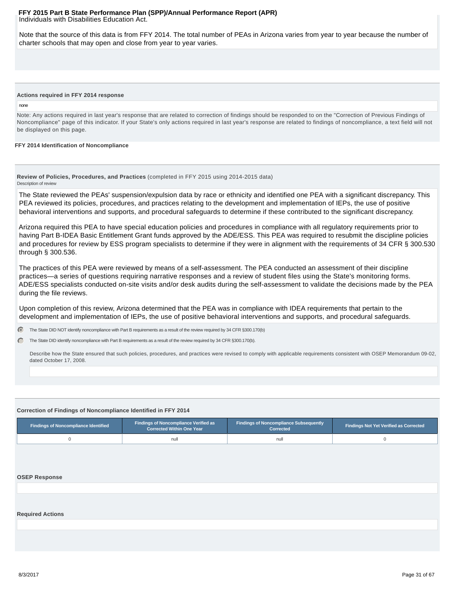#### <span id="page-30-0"></span>Individuals with Disabilities Education Act. **FFY 2015 Part B State Performance Plan (SPP)/Annual Performance Report (APR)**

Note that the source of this data is from FFY 2014. The total number of PEAs in Arizona varies from year to year because the number of charter schools that may open and close from year to year varies.

#### **Actions required in FFY 2014 response**

#### none

Note: Any actions required in last year's response that are related to correction of findings should be responded to on the "Correction of Previous Findings of Noncompliance" page of this indicator. If your State's only actions required in last year's response are related to findings of noncompliance, a text field will not be displayed on this page.

#### **FFY 2014 Identification of Noncompliance**

**Review of Policies, Procedures, and Practices** (completed in FFY 2015 using 2014-2015 data) Description of review

The State reviewed the PEAs' suspension/expulsion data by race or ethnicity and identified one PEA with a significant discrepancy. This PEA reviewed its policies, procedures, and practices relating to the development and implementation of IEPs, the use of positive behavioral interventions and supports, and procedural safeguards to determine if these contributed to the significant discrepancy.

Arizona required this PEA to have special education policies and procedures in compliance with all regulatory requirements prior to having Part B-IDEA Basic Entitlement Grant funds approved by the ADE/ESS. This PEA was required to resubmit the discipline policies and procedures for review by ESS program specialists to determine if they were in alignment with the requirements of 34 CFR § 300.530 through § 300.536.

The practices of this PEA were reviewed by means of a self-assessment. The PEA conducted an assessment of their discipline practices—a series of questions requiring narrative responses and a review of student files using the State's monitoring forms. ADE/ESS specialists conducted on-site visits and/or desk audits during the self-assessment to validate the decisions made by the PEA during the file reviews.

Upon completion of this review, Arizona determined that the PEA was in compliance with IDEA requirements that pertain to the development and implementation of IEPs, the use of positive behavioral interventions and supports, and procedural safeguards.

G. The State DID NOT identify noncompliance with Part B requirements as a result of the review required by 34 CFR §300.170(b)

The State DID identify noncompliance with Part B requirements as a result of the review required by 34 CFR §300.170(b). C.

Describe how the State ensured that such policies, procedures, and practices were revised to comply with applicable requirements consistent with OSEP Memorandum 09-02, dated October 17, 2008.

#### **Correction of Findings of Noncompliance Identified in FFY 2014**

| <b>Findings of Noncompliance Verified as</b><br>Findings of Noncompliance Identified<br>Corrected Within One Year |      | <b>Findings of Noncompliance Subsequently</b><br>Corrected | <b>Findings Not Yet Verified as Corrected</b> |  |
|-------------------------------------------------------------------------------------------------------------------|------|------------------------------------------------------------|-----------------------------------------------|--|
|                                                                                                                   | านll | nul                                                        |                                               |  |

#### **OSEP Response**

#### **Required Actions**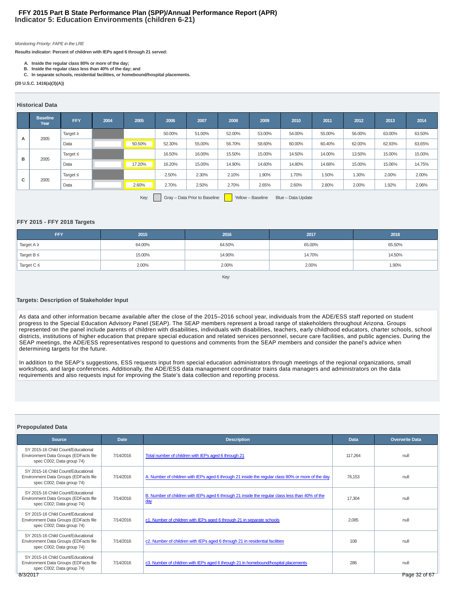# **Indicator 5: Education Environments (children 6-21) FFY 2015 Part B State Performance Plan (SPP)/Annual Performance Report (APR)**

#### Monitoring Priority: FAPE in the LRE

**Results indicator: Percent of children with IEPs aged 6 through 21 served:**

- **A. Inside the regular class 80% or more of the day;**
- **B. Inside the regular class less than 40% of the day; and**
- **C. In separate schools, residential facilities, or homebound/hospital placements.**

**(20 U.S.C. 1416(a)(3)(A))**

#### **Historical Data**

|   | <b>Baseline</b><br>Year | <b>FFY</b>    | 2004 | 2005   | 2006   | 2007   | 2008   | 2009   | 2010   | 2011   | 2012   | 2013   | 2014   |
|---|-------------------------|---------------|------|--------|--------|--------|--------|--------|--------|--------|--------|--------|--------|
|   | 2005                    | Target $\geq$ |      |        | 50.00% | 51.00% | 52.00% | 53.00% | 54.00% | 55.00% | 56.00% | 63.00% | 63.50% |
| A |                         | Data          |      | 50.50% | 52.30% | 55.00% | 56.70% | 58.60% | 60.00% | 60.40% | 62.00% | 62.93% | 63.65% |
|   |                         | Target $\leq$ |      |        | 16.50% | 16.00% | 15.50% | 15.00% | 14.50% | 14.00% | 13.50% | 15.00% | 15.00% |
| в | 2005                    | Data          |      | 17.20% | 16.20% | 15.00% | 14.90% | 14.60% | 14.80% | 14.68% | 15.00% | 15.06% | 14.75% |
|   |                         | Target $\leq$ |      |        | 2.50%  | 2.30%  | 2.10%  | 1.90%  | 1.70%  | 1.50%  | 1.30%  | 2.00%  | 2.00%  |
| с | 2005                    | Data          |      | 2.60%  | 2.70%  | 2.50%  | 2.70%  | 2.65%  | 2.60%  | 2.80%  | 2.00%  | 1.92%  | 2.06%  |
|   | $\sim$                  |               |      |        |        |        |        |        |        |        |        |        |        |

Key: Gray – Data Prior to Baseline Yellow – Baseline Blue – Data Update

#### **FFY 2015 - FFY 2018 Targets**

| <b>FFY</b>      | 2015   | 2016   | 2017   | 2018   |
|-----------------|--------|--------|--------|--------|
| Target $A \geq$ | 64.00% | 64.50% | 65.00% | 65.50% |
| Target B ≤      | 15.00% | 14.90% | 14.70% | 14.50% |
| Target $C \leq$ | 2.00%  | 2.00%  | 2.00%  | 1.90%  |

#### Key:

#### **Targets: Description of Stakeholder Input**

As data and other information became available after the close of the 2015–2016 school year, individuals from the ADE/ESS staff reported on student progress to the Special Education Advisory Panel (SEAP). The SEAP members represent a broad range of stakeholders throughout Arizona. Groups represented on the panel include parents of children with disabilities, individuals with disabilities, teachers, early childhood educators, charter schools, school districts, institutions of higher education that prepare special education and related services personnel, secure care facilities, and public agencies. During the SEAP meetings, the ADE/ESS representatives respond to questions and comments from the SEAP members and consider the panel's advice when determining targets for the future.

In addition to the SEAP's suggestions, ESS requests input from special education administrators through meetings of the regional organizations, small workshops, and large conferences. Additionally, the ADE/ESS data management coordinator trains data managers and administrators on the data requirements and also requests input for improving the State's data collection and reporting process.

#### **Prepopulated Data**

| <b>Source</b>                                                                                                        | Date      | <b>Description</b>                                                                                     | Data    | <b>Overwrite Data</b> |
|----------------------------------------------------------------------------------------------------------------------|-----------|--------------------------------------------------------------------------------------------------------|---------|-----------------------|
| SY 2015-16 Child Count/Educational<br>Environment Data Groups (EDFacts file<br>spec C002; Data group 74)             | 7/14/2016 | Total number of children with IEPs aged 6 through 21                                                   | 117.264 | null                  |
| SY 2015-16 Child Count/Educational<br>Environment Data Groups (EDFacts file<br>spec C002; Data group 74)             | 7/14/2016 | A. Number of children with IEPs aged 6 through 21 inside the regular class 80% or more of the day      | 76.153  | null                  |
| SY 2015-16 Child Count/Educational<br>Environment Data Groups (EDFacts file<br>spec C002; Data group 74)             | 7/14/2016 | B. Number of children with IEPs aged 6 through 21 inside the regular class less than 40% of the<br>day | 17.304  | null                  |
| SY 2015-16 Child Count/Educational<br>Environment Data Groups (EDFacts file<br>spec C002; Data group 74)             | 7/14/2016 | c1. Number of children with IEPs aged 6 through 21 in separate schools                                 | 2.085   | null                  |
| SY 2015-16 Child Count/Educational<br>Environment Data Groups (EDFacts file<br>spec C002; Data group 74)             | 7/14/2016 | c2. Number of children with IEPs aged 6 through 21 in residential facilities                           | 108     | null                  |
| SY 2015-16 Child Count/Educational<br>Environment Data Groups (EDFacts file<br>spec C002; Data group 74)<br>8/3/2017 | 7/14/2016 | c3. Number of children with IEPs aged 6 through 21 in homebound/hospital placements                    | 286     | null<br>Page 32 of 67 |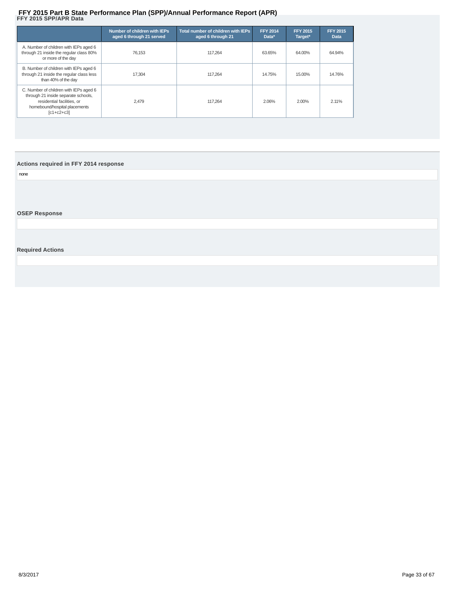# <span id="page-32-0"></span>FFY 2015 Part B State Performance Plan (SPP)/Annual Performance Report (APR)<br>FFY 2015 SPP/APR Data

|                                                                                                                                                                                                                   | Number of children with IEPs<br>aged 6 through 21 served | Total number of children with IEPs<br>aged 6 through 21 | <b>FFY 2014</b><br>Data* | <b>FFY 2015</b><br>Target* | <b>FFY 2015</b><br><b>Data</b> |
|-------------------------------------------------------------------------------------------------------------------------------------------------------------------------------------------------------------------|----------------------------------------------------------|---------------------------------------------------------|--------------------------|----------------------------|--------------------------------|
| A. Number of children with IEPs aged 6<br>through 21 inside the regular class 80%<br>or more of the day                                                                                                           | 76.153                                                   | 117.264                                                 | 63.65%                   | 64.00%                     | 64.94%                         |
| B. Number of children with IEPs aged 6<br>through 21 inside the regular class less<br>than 40% of the day                                                                                                         | 17.304                                                   | 117.264                                                 | 14.75%                   | 15.00%                     | 14.76%                         |
| C. Number of children with IEPs aged 6<br>through 21 inside separate schools,<br>residential facilities, or<br>homebound/hospital placements<br>$\begin{bmatrix} \text{C1} + \text{C2} + \text{C3} \end{bmatrix}$ | 2.479                                                    | 117.264                                                 | 2.06%                    | 2.00%                      | 2.11%                          |

# **Actions required in FFY 2014 response**

none

**OSEP Response**

# **Required Actions**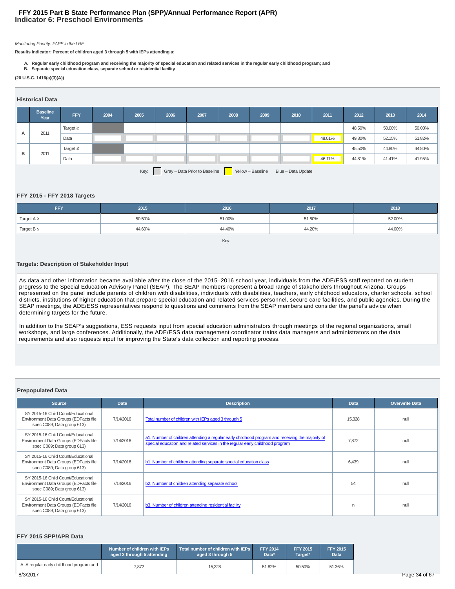# **Indicator 6: Preschool Environments FFY 2015 Part B State Performance Plan (SPP)/Annual Performance Report (APR)**

#### Monitoring Priority: FAPE in the LRE

**Results indicator: Percent of children aged 3 through 5 with IEPs attending a:**

- **A. Regular early childhood program and receiving the majority of special education and related services in the regular early childhood program; and**
- **B. Separate special education class, separate school or residential facility.**

**(20 U.S.C. 1416(a)(3)(A))**

#### **Historical Data**

|   | <b>Baseline</b><br>Year                                                          | FFY           | 2004 | 2005 | 2006 | 2007 | 2008 | 2009 | 2010 | 2011   | 2012   | 2013   | 2014   |
|---|----------------------------------------------------------------------------------|---------------|------|------|------|------|------|------|------|--------|--------|--------|--------|
|   |                                                                                  | Target $\geq$ |      |      |      |      |      |      |      |        | 48.50% | 50.00% | 50.00% |
| A | 2011                                                                             | Data          |      |      |      |      |      |      |      | 48.01% | 49.80% | 52.15% | 51.82% |
|   |                                                                                  | Target $\leq$ |      |      |      |      |      |      |      |        | 45.50% | 44.80% | 44.80% |
| в | 2011                                                                             | Data          |      |      |      |      |      |      |      | 46.11% | 44.81% | 41.41% | 41.95% |
|   | Gray - Data Prior to Baseline<br>Key:<br>Yellow - Baseline<br>Blue - Data Update |               |      |      |      |      |      |      |      |        |        |        |        |

#### **FFY 2015 - FFY 2018 Targets**

| <b>FFY</b>                | 2015   | 2016   | 2017   | 2018   |
|---------------------------|--------|--------|--------|--------|
| Target A ≥                | 50.50% | 51.00% | 51.50% | 52.00% |
| Target $B \leq$<br>44.60% |        | 44.40% | 44.20% | 44.00% |
|                           |        |        |        |        |

#### **Targets: Description of Stakeholder Input**

As data and other information became available after the close of the 2015–2016 school year, individuals from the ADE/ESS staff reported on student progress to the Special Education Advisory Panel (SEAP). The SEAP members represent a broad range of stakeholders throughout Arizona. Groups represented on the panel include parents of children with disabilities, individuals with disabilities, teachers, early childhood educators, charter schools, school districts, institutions of higher education that prepare special education and related services personnel, secure care facilities, and public agencies. During the SEAP meetings, the ADE/ESS representatives respond to questions and comments from the SEAP members and consider the panel's advice when determining targets for the future.

In addition to the SEAP's suggestions, ESS requests input from special education administrators through meetings of the regional organizations, small workshops, and large conferences. Additionally, the ADE/ESS data management coordinator trains data managers and administrators on the data requirements and also requests input for improving the State's data collection and reporting process.

#### **Prepopulated Data**

| <b>Source</b>                                                                                             | <b>Date</b> | <b>Description</b>                                                                                                                                                                | <b>Data</b> | <b>Overwrite Data</b> |
|-----------------------------------------------------------------------------------------------------------|-------------|-----------------------------------------------------------------------------------------------------------------------------------------------------------------------------------|-------------|-----------------------|
| SY 2015-16 Child Count/Educational<br>Environment Data Groups (EDFacts file<br>spec C089; Data group 613) | 7/14/2016   | Total number of children with IEPs aged 3 through 5                                                                                                                               | 15.328      | null                  |
| SY 2015-16 Child Count/Educational<br>Environment Data Groups (EDFacts file<br>spec C089; Data group 613) | 7/14/2016   | a1. Number of children attending a regular early childhood program and receiving the majority of<br>special education and related services in the regular early childhood program | 7.872       | null                  |
| SY 2015-16 Child Count/Educational<br>Environment Data Groups (EDFacts file<br>spec C089; Data group 613) | 7/14/2016   | b1. Number of children attending separate special education class                                                                                                                 | 6.439       | null                  |
| SY 2015-16 Child Count/Educational<br>Environment Data Groups (EDFacts file<br>spec C089; Data group 613) | 7/14/2016   | b2. Number of children attending separate school                                                                                                                                  | 54          | null                  |
| SY 2015-16 Child Count/Educational<br>Environment Data Groups (EDFacts file<br>spec C089; Data group 613) | 7/14/2016   | b3. Number of children attending residential facility                                                                                                                             | n           | null                  |

#### **FFY 2015 SPP/APR Data**

|                                          | . Number of children with IEPs $^{\mathrm{!}}$<br>aged 3 through 5 attending | Total number of children with IEPs<br>aged 3 through 5 | FFY 2014<br>Data* | <b>FFY 2015</b><br>Target* | <b>FFY 2015</b><br>Data |
|------------------------------------------|------------------------------------------------------------------------------|--------------------------------------------------------|-------------------|----------------------------|-------------------------|
| A. A regular early childhood program and | 7,872                                                                        | 15,328                                                 | 51.82%            | 50.50%                     | 51.36%                  |
| 8/3/2017                                 |                                                                              |                                                        |                   |                            |                         |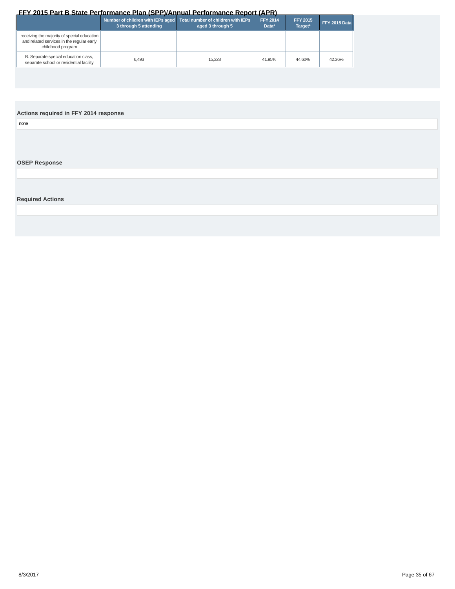<span id="page-34-0"></span>

|                                                                                                               | 3 through 5 attending | Number of children with IEPs aged Total number of children with IEPs<br>aged 3 through 5 | <b>FFY 2014</b><br>Data* | <b>FFY 2015</b><br>Target* | FFY 2015 Data |
|---------------------------------------------------------------------------------------------------------------|-----------------------|------------------------------------------------------------------------------------------|--------------------------|----------------------------|---------------|
| receiving the majority of special education<br>and related services in the regular early<br>childhood program |                       |                                                                                          |                          |                            |               |
| B. Separate special education class,<br>separate school or residential facility                               | 6.493                 | 15.328                                                                                   | 41.95%                   | 44.60%                     | 42.36%        |

# **Actions required in FFY 2014 response**

none

# **OSEP Response**

**Required Actions**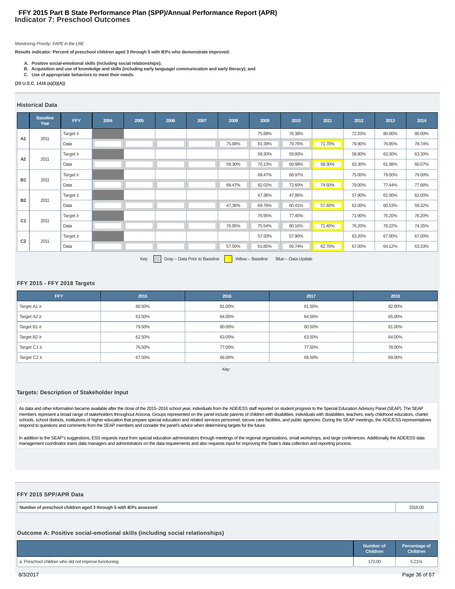# **Indicator 7: Preschool Outcomes FFY 2015 Part B State Performance Plan (SPP)/Annual Performance Report (APR)**

#### Monitoring Priority: FAPE in the LRE

**Results indicator: Percent of preschool children aged 3 through 5 with IEPs who demonstrate improved:**

- 
- **A. Positive social-emotional skills (including social relationships); B. Acquisition and use of knowledge and skills (including early language/ communication and early literacy); and**
- **C. Use of appropriate behaviors to meet their needs.**

#### **(20 U.S.C. 1416 (a)(3)(A))**

#### **Historical Data**

|                | <b>Baseline</b><br>Year | <b>FFY</b>    | 2004 | 2005 | 2006 | 2007 | 2008   | 2009   | 2010   | 2011   | 2012   | 2013   | 2014   |
|----------------|-------------------------|---------------|------|------|------|------|--------|--------|--------|--------|--------|--------|--------|
| A <sub>1</sub> |                         | Target $\geq$ |      |      |      |      |        | 75.88% | 76.38% |        | 72.20% | 80.00% | 80.00% |
|                | 2011                    | Data          |      |      |      |      | 75.88% | 81.39% | 79.76% | 71.70% | 79.90% | 78.85% | 78.74% |
| A2             | 2011                    | Target $\geq$ |      |      |      |      |        | 59.30% | 59.80% |        | 58.80% | 63.30% | 63.30% |
|                |                         | Data          |      |      |      |      | 59.30% | 70.13% | 69.98% | 58.30% | 63.30% | 61.98% | 60.07% |
| <b>B1</b>      | 2011                    | Target $\geq$ |      |      |      |      |        | 68.47% | 68.97% |        | 75.00% | 79.00% | 79.00% |
|                |                         | Data          |      |      |      |      | 68.47% | 82.02% | 72.60% | 74.50% | 79.00% | 77.44% | 77.68% |
| <b>B2</b>      | 2011                    | Target $\geq$ |      |      |      |      |        | 47.36% | 47.86% |        | 57.90% | 62.00% | 62.00% |
|                |                         | Data          |      |      |      |      | 47.36% | 69.76% | 60.41% | 57.40% | 62.00% | 60.53% | 59.32% |
| C <sub>1</sub> | 2011                    | Target $\geq$ |      |      |      |      |        | 76.95% | 77.45% |        | 71.90% | 76.20% | 76.20% |
|                |                         | Data          |      |      |      |      | 76.95% | 75.54% | 80.16% | 71.40% | 76.20% | 78.22% | 74.35% |
| C <sub>2</sub> |                         | Target $\geq$ |      |      |      |      |        | 57.50% | 57.90% |        | 63.20% | 67.00% | 67.00% |
|                | 2011                    | Data          |      |      |      |      | 57.50% | 61.85% | 69.74% | 62.70% | 67.00% | 64.12% | 63.33% |

Key: Gray – Data Prior to Baseline Yellow – Baseline Blue – Data Update

# **FFY 2015 - FFY 2018 Targets**

| <b>FFY</b>       | 2015   | 2016   | 2017   | 2018   |
|------------------|--------|--------|--------|--------|
| Target $A1 \geq$ | 80.50% | 81.00% | 81.50% | 82.00% |
| Target $A2 \geq$ | 63.50% | 64.00% | 64.50% | 65.00% |
| Target B1 $\geq$ | 79.50% | 80.00% | 80.50% | 81.00% |
| Target $B2 \geq$ | 62.50% | 63.00% | 63.50% | 64.00% |
| Target C1 $\ge$  | 76.50% | 77.00% | 77.50% | 78.00% |
| Target $C2 \geq$ | 67.50% | 68.00% | 68.50% | 69.00% |

Key:

### **Targets: Description of Stakeholder Input**

As data and other information became available after the close of the 2015-2016 school year, individuals from the ADE/ESS staff reported on student progress to the Special Education Advisory Panel (SEAP). The SEAP members represent a broad range of stakeholders throughout Arizona. Groups represented on the panel include parents of children with disabilities, individuals with disabilities, teachers, early childhood educators, charter schools, school districts, institutions of higher education that prepare special education and related services personnel, secure care facilities, and public agencies. During the SEAP meetings, the ADE/ESS representatives respond to questions and comments from the SEAP members and consider the panel's advice when determining targets for the future.

In addition to the SEAP's suggestions, ESS requests input from special education administrators through meetings of the regional organizations, small workshops, and large conferences. Additionally, the ADE/ESS data management coordinator trains data managers and administrators on the data requirements and also requests input for improving the State's data collection and reporting process.

# **FFY 2015 SPP/APR Data**

| Numh<br>, throuah<br>, with IEPr<br>s assessed<br>: preschool children<br>. ager | . |
|----------------------------------------------------------------------------------|---|
|----------------------------------------------------------------------------------|---|

# **Outcome A: Positive social-emotional skills (including social relationships)**

|                                                       | <b>Number of</b><br><b>Children</b> | Percentage of<br><b>Children</b> |
|-------------------------------------------------------|-------------------------------------|----------------------------------|
| a. Preschool children who did not improve functioning | 173.00                              | 5.21%                            |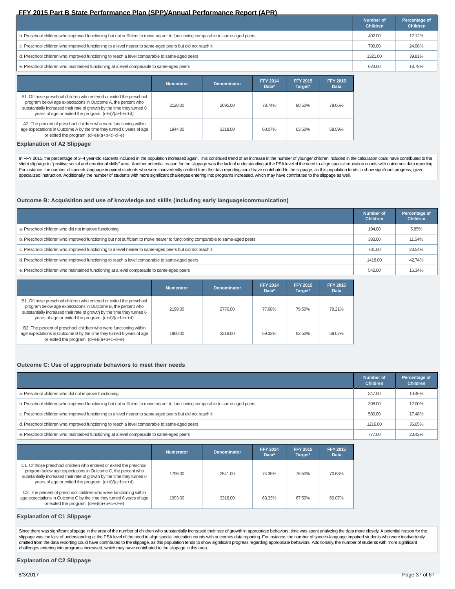|                                                                                                                               | Number of<br><b>Children</b> | Percentage of<br><b>Children</b> |
|-------------------------------------------------------------------------------------------------------------------------------|------------------------------|----------------------------------|
| b. Preschool children who improved functioning but not sufficient to move nearer to functioning comparable to same-aged peers | 402.00                       | 12.12%                           |
| c. Preschool children who improved functioning to a level nearer to same-aged peers but did not reach it                      | 799.00                       | 24.08%                           |
| d. Preschool children who improved functioning to reach a level comparable to same-aged peers                                 | 1321.00                      | 39.81%                           |
| e. Preschool children who maintained functioning at a level comparable to same-aged peers                                     | 623.00                       | 18.78%                           |

|                                                                                                                                                                                                                                                                      | <b>Numerator</b> | <b>Denominator</b> | <b>FFY 2014</b><br>Data* | <b>FFY 2015</b><br>Target* | <b>FFY 2015</b><br><b>Data</b> |
|----------------------------------------------------------------------------------------------------------------------------------------------------------------------------------------------------------------------------------------------------------------------|------------------|--------------------|--------------------------|----------------------------|--------------------------------|
| A1. Of those preschool children who entered or exited the preschool<br>program below age expectations in Outcome A, the percent who<br>substantially increased their rate of growth by the time they turned 6<br>years of age or exited the program. (c+d)/(a+b+c+d) | 2120.00          | 2695.00            | 78.74%                   | 80.50%                     | 78.66%                         |
| A2. The percent of preschool children who were functioning within<br>age expectations in Outcome A by the time they turned 6 years of age<br>or exited the program. (d+e)/(a+b+c+d+e)                                                                                | 1944.00          | 3318.00            | 60.07%                   | 63.50%                     | 58.59%                         |

#### **Explanation of A2 Slippage**

In FFY 2015, the percentage of 3-4 year-old students included in the population increased again. This continued trend of an increase in the number of younger children included in the calculation could have contributed to t slight slippage in "positive social and emotional skills" area. Another potential reason for the slippage was the lack of understanding at the PEA level of the need to align special education counts with outcomes data repo specialized instruction. Additionally, the number of students with more significant challenges entering into programs increased, which may have contributed to the slippage as well.

### **Outcome B: Acquisition and use of knowledge and skills (including early language/communication)**

|                                                                                                                               | <b>Number of</b><br><b>Children</b> | Percentage of<br><b>Children</b> |
|-------------------------------------------------------------------------------------------------------------------------------|-------------------------------------|----------------------------------|
| a. Preschool children who did not improve functioning                                                                         | 194.00                              | 5.85%                            |
| b. Preschool children who improved functioning but not sufficient to move nearer to functioning comparable to same-aged peers | 383.00                              | 11.54%                           |
| c. Preschool children who improved functioning to a level nearer to same-aged peers but did not reach it                      | 781.00                              | 23.54%                           |
| d. Preschool children who improved functioning to reach a level comparable to same-aged peers                                 | 1418.00                             | 42.74%                           |
| e. Preschool children who maintained functioning at a level comparable to same-aged peers                                     | 542.00                              | 16.34%                           |

|                                                                                                                                                                                                                                                                      | Numerator | <b>Denominator</b> | <b>FFY 2014</b><br>Data* | <b>FFY 2015</b><br>Target* | <b>FFY 2015</b><br>Data |
|----------------------------------------------------------------------------------------------------------------------------------------------------------------------------------------------------------------------------------------------------------------------|-----------|--------------------|--------------------------|----------------------------|-------------------------|
| B1. Of those preschool children who entered or exited the preschool<br>program below age expectations in Outcome B, the percent who<br>substantially increased their rate of growth by the time they turned 6<br>years of age or exited the program. (c+d)/(a+b+c+d) | 2199.00   | 2776.00            | 77.68%                   | 79.50%                     | 79.21%                  |
| B2. The percent of preschool children who were functioning within<br>age expectations in Outcome B by the time they turned 6 years of age<br>or exited the program. (d+e)/(a+b+c+d+e)                                                                                | 1960.00   | 3318.00            | 59.32%                   | 62.50%                     | 59.07%                  |

#### **Outcome C: Use of appropriate behaviors to meet their needs**

|                                                                                                                               | Number of<br><b>Children</b> | Percentage of<br><b>Children</b> |
|-------------------------------------------------------------------------------------------------------------------------------|------------------------------|----------------------------------|
| a. Preschool children who did not improve functioning                                                                         | 347.00                       | 10.46%                           |
| b. Preschool children who improved functioning but not sufficient to move nearer to functioning comparable to same-aged peers | 398.00                       | 12.00%                           |
| c. Preschool children who improved functioning to a level nearer to same-aged peers but did not reach it                      | 580.00                       | 17.48%                           |
| d. Preschool children who improved functioning to reach a level comparable to same-aged peers                                 | 1216.00                      | 36.65%                           |
| e. Preschool children who maintained functioning at a level comparable to same-aged peers                                     | 777.00                       | 23.42%                           |

|                                                                                                                                                                                                                                                                      | <b>Numerator</b> | <b>Denominator</b> | <b>FFY 2014</b><br>Data* | <b>FFY 2015</b><br>Target* | <b>FFY 2015</b><br>Data |
|----------------------------------------------------------------------------------------------------------------------------------------------------------------------------------------------------------------------------------------------------------------------|------------------|--------------------|--------------------------|----------------------------|-------------------------|
| C1. Of those preschool children who entered or exited the preschool<br>program below age expectations in Outcome C, the percent who<br>substantially increased their rate of growth by the time they turned 6<br>years of age or exited the program. (c+d)/(a+b+c+d) | 1796.00          | 2541.00            | 74.35%                   | 76.50%                     | 70.68%                  |
| C2. The percent of preschool children who were functioning within<br>age expectations in Outcome C by the time they turned 6 years of age<br>or exited the program. (d+e)/(a+b+c+d+e)                                                                                | 1993.00          | 3318.00            | 63.33%                   | 67.50%                     | 60.07%                  |

#### **Explanation of C1 Slippage**

Since there was significant slippage in the area of the number of children who substantially increased their rate of growth in appropriate behaviors, time was spent analyzing the data more closely. A potential reason for t slippage was the lack of understanding at the PEA level of the need to align special education counts with outcomes data reporting. For instance, the number of speech-language impaired students who were inadvertently<br>omitt challenges entering into programs increased, which may have contributed to the slippage in this area.

#### **Explanation of C2 Slippage**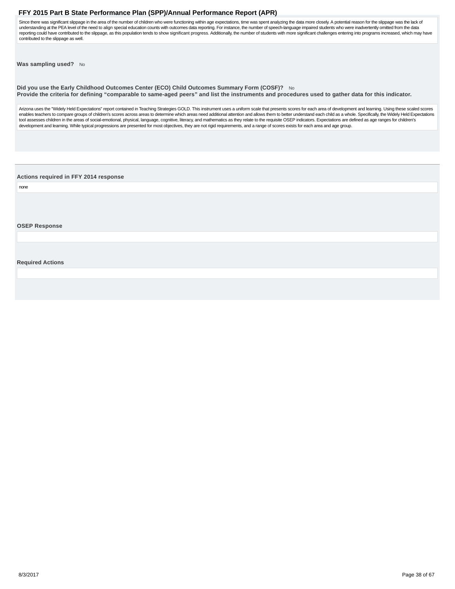<span id="page-37-0"></span>Since there was significant slippage in the area of the number of children who were functioning within age expectations, time was spent analyzing the data more closely. A potential reason for the slippage was the lack of understanding at the PEA level of the need to align special education counts with outcomes data reporting. For instance, the number of speech-language impaired students who were inadvertently omitted from the data reporting could have contributed to the slippage, as this population tends to show significant progress. Additionally, the number of students with more significant challenges entering into programs increased, which may hav contributed to the slippage as well.

**Was sampling used?** No

**Did you use the Early Childhood Outcomes Center (ECO) Child Outcomes Summary Form (COSF)?** No **Provide the criteria for defining "comparable to same-aged peers" and list the instruments and procedures used to gather data for this indicator.**

Arizona uses the "Widely Held Expectations" report contained in Teaching Strategies GOLD. This instrument uses a uniform scale that presents scores for each area of development and learning. Using these scaled scores enables teachers to compare groups of children's scores across areas to determine which areas need additional attention and allows them to better understand each child as a whole. Specifically, the Widely Held Expectations tool assesses children in the areas of social-emotional, physical, language, cognitive, literacy, and mathematics as they relate to the requisite OSEP indicators. Expectations are defined as age ranges for children's development and learning. While typical progressions are presented for most objectives, they are not rigid requirements, and a range of scores exists for each area and age group.

**Actions required in FFY 2014 response**

none

**OSEP Response**

**Required Actions**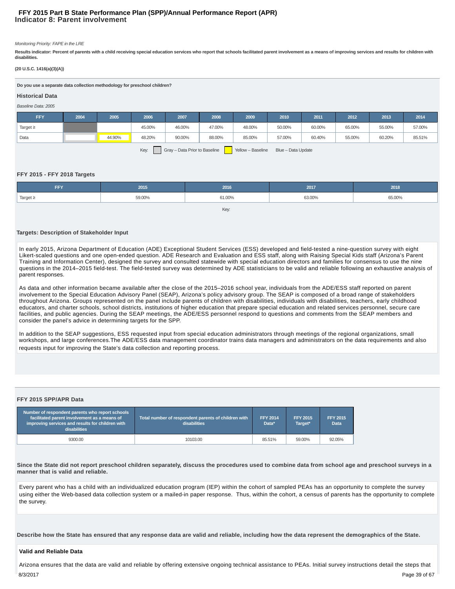# **Indicator 8: Parent involvement FFY 2015 Part B State Performance Plan (SPP)/Annual Performance Report (APR)**

#### Monitoring Priority: FAPE in the LRE

**Results indicator: Percent of parents with a child receiving special education services who report that schools facilitated parent involvement as a means of improving services and results for children with disabilities.**

#### **(20 U.S.C. 1416(a)(3)(A))**

**Do you use a separate data collection methodology for preschool children?**

#### Baseline Data: 2005 **Historical Data**

| <i><b>Baseline Dala, ZUUO</b></i>                                                |      |        |        |        |        |        |        |        |        |        |        |
|----------------------------------------------------------------------------------|------|--------|--------|--------|--------|--------|--------|--------|--------|--------|--------|
| FFY                                                                              | 2004 | 2005   | 2006   | 2007   | 2008   | 2009   | 2010   | 2011   | 2012   | 2013   | 2014   |
| Target $\geq$                                                                    |      |        | 45.00% | 46.00% | 47.00% | 48.00% | 50.00% | 60.00% | 65.00% | 55.00% | 57.00% |
| Data                                                                             |      | 44.90% | 48.20% | 90.00% | 88.00% | 85.00% | 57.00% | 60.40% | 55.00% | 60.20% | 85.51% |
| Key:<br>Gray - Data Prior to Baseline<br>Yellow - Baseline<br>Blue - Data Update |      |        |        |        |        |        |        |        |        |        |        |

#### **FFY 2015 - FFY 2018 Targets**

| <b>FFY</b>    | 2015   | 2016   | 2017   | 2018   |  |  |
|---------------|--------|--------|--------|--------|--|--|
| Target $\geq$ | 59.00% | 61.00% | 63.00% | 65.00% |  |  |
| Key:          |        |        |        |        |  |  |

#### **Targets: Description of Stakeholder Input**

In early 2015, Arizona Department of Education (ADE) Exceptional Student Services (ESS) developed and field-tested a nine-question survey with eight Likert-scaled questions and one open-ended question. ADE Research and Evaluation and ESS staff, along with Raising Special Kids staff (Arizona's Parent Training and Information Center), designed the survey and consulted statewide with special education directors and families for consensus to use the nine questions in the 2014–2015 field-test. The field-tested survey was determined by ADE statisticians to be valid and reliable following an exhaustive analysis of parent responses.

As data and other information became available after the close of the 2015–2016 school year, individuals from the ADE/ESS staff reported on parent involvement to the Special Education Advisory Panel (SEAP), Arizona's policy advisory group. The SEAP is composed of a broad range of stakeholders throughout Arizona. Groups represented on the panel include parents of children with disabilities, individuals with disabilities, teachers, early childhood educators, and charter schools, school districts, institutions of higher education that prepare special education and related services personnel, secure care facilities, and public agencies. During the SEAP meetings, the ADE/ESS personnel respond to questions and comments from the SEAP members and consider the panel's advice in determining targets for the SPP.

In addition to the SEAP suggestions, ESS requested input from special education administrators through meetings of the regional organizations, small workshops, and large conferences.The ADE/ESS data management coordinator trains data managers and administrators on the data requirements and also requests input for improving the State's data collection and reporting process.

#### **FFY 2015 SPP/APR Data**

| Number of respondent parents who report schools<br>facilitated parent involvement as a means of<br>improving services and results for children with<br><b>disabilities</b> | Total number of respondent parents of children with<br><b>disabilities</b> | <b>FFY 2014</b><br>Data* | <b>FFY 2015</b><br>Target* | <b>FFY 2015</b><br><b>Data</b> |
|----------------------------------------------------------------------------------------------------------------------------------------------------------------------------|----------------------------------------------------------------------------|--------------------------|----------------------------|--------------------------------|
| 9300.00                                                                                                                                                                    | 10103.00                                                                   | 85.51%                   | 59.00%                     | 92.05%                         |

**Since the State did not report preschool children separately, discuss the procedures used to combine data from school age and preschool surveys in a manner that is valid and reliable.**

Every parent who has a child with an individualized education program (IEP) within the cohort of sampled PEAs has an opportunity to complete the survey using either the Web-based data collection system or a mailed-in paper response. Thus, within the cohort, a census of parents has the opportunity to complete the survey.

**Describe how the State has ensured that any response data are valid and reliable, including how the data represent the demographics of the State.**

#### **Valid and Reliable Data**

Arizona ensures that the data are valid and reliable by offering extensive ongoing technical assistance to PEAs. Initial survey instructions detail the steps that 8/3/2017 Page 39 of 67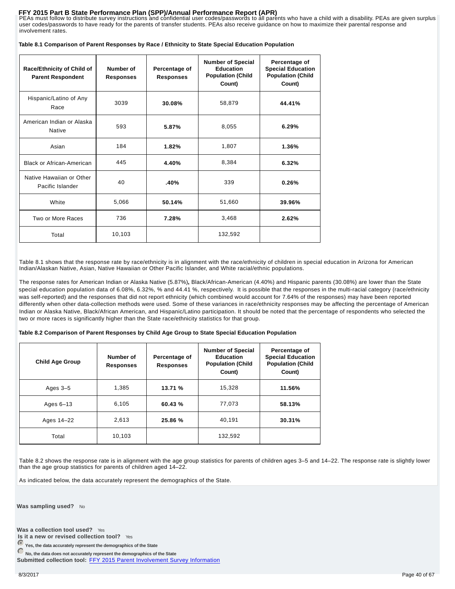FFY 2015 Part B State Performance Plan (SPP)/Annual Performance Report (APR)<br>PEAs must follow to distribute survey instructions and confidential user codes/passwords to all parents who have a child with a disability. PEAs user codes/passwords to have ready for the parents of transfer students. PEAs also receive guidance on how to maximize their parental response and involvement rates.

|  | Table 8.1 Comparison of Parent Responses by Race / Ethnicity to State Special Education Population |  |  |  |
|--|----------------------------------------------------------------------------------------------------|--|--|--|
|  |                                                                                                    |  |  |  |

| Race/Ethnicity of Child of<br><b>Parent Respondent</b> | Number of<br>Responses | Percentage of<br><b>Responses</b> | <b>Number of Special</b><br><b>Education</b><br><b>Population (Child</b><br>Count) | Percentage of<br><b>Special Education</b><br><b>Population (Child</b><br>Count) |
|--------------------------------------------------------|------------------------|-----------------------------------|------------------------------------------------------------------------------------|---------------------------------------------------------------------------------|
| Hispanic/Latino of Any<br>Race                         | 3039                   | 30.08%                            | 58,879                                                                             | 44.41%                                                                          |
| American Indian or Alaska<br><b>Native</b>             | 593                    | 5.87%                             | 8,055                                                                              | 6.29%                                                                           |
| Asian                                                  | 184                    | 1.82%                             | 1,807                                                                              | 1.36%                                                                           |
| <b>Black or African-American</b>                       | 445                    | 4.40%                             | 8,384                                                                              | 6.32%                                                                           |
| Native Hawaiian or Other<br>Pacific Islander           | 40                     | .40%                              | 339                                                                                | 0.26%                                                                           |
| White                                                  | 5,066                  | 50.14%                            | 51,660                                                                             | 39.96%                                                                          |
| Two or More Races                                      | 736                    | 7.28%                             | 3,468                                                                              | 2.62%                                                                           |
| Total                                                  | 10,103                 |                                   | 132,592                                                                            |                                                                                 |

Table 8.1 shows that the response rate by race/ethnicity is in alignment with the race/ethnicity of children in special education in Arizona for American Indian/Alaskan Native, Asian, Native Hawaiian or Other Pacific Islander, and White racial/ethnic populations.

The response rates for American Indian or Alaska Native (5.87%)**,** Black/African-American (4.40%) and Hispanic parents (30.08%) are lower than the State special education population data of 6.08%, 6.32%, % and 44.41 %, respectively. It is possible that the responses in the multi-racial category (race/ethnicity was self-reported) and the responses that did not report ethnicity (which combined would account for 7.64% of the responses) may have been reported differently when other data-collection methods were used. Some of these variances in race/ethnicity responses may be affecting the percentage of American Indian or Alaska Native, Black/African American, and Hispanic/Latino participation. It should be noted that the percentage of respondents who selected the two or more races is significantly higher than the State race/ethnicity statistics for that group.

#### **Table 8.2 Comparison of Parent Responses by Child Age Group to State Special Education Population**

| <b>Child Age Group</b> | Number of<br><b>Responses</b> | Percentage of<br><b>Responses</b> | <b>Number of Special</b><br><b>Education</b><br><b>Population (Child</b><br>Count) | Percentage of<br><b>Special Education</b><br><b>Population (Child</b><br>Count) |
|------------------------|-------------------------------|-----------------------------------|------------------------------------------------------------------------------------|---------------------------------------------------------------------------------|
| Ages $3-5$             | 1.385                         | 13.71 %                           | 15,328                                                                             | 11.56%                                                                          |
| Ages $6-13$            | 6,105                         | 60.43%                            | 77,073                                                                             | 58.13%                                                                          |
| Ages 14-22             | 2,613                         | 25.86 %                           | 40.191                                                                             | 30.31%                                                                          |
| Total                  | 10,103                        |                                   | 132,592                                                                            |                                                                                 |

Table 8.2 shows the response rate is in alignment with the age group statistics for parents of children ages 3–5 and 14–22. The response rate is slightly lower than the age group statistics for parents of children aged 14–22.

As indicated below, the data accurately represent the demographics of the State.

**Was sampling used?** No

Was a collection tool used? Yes

**Is it a new or revised collection tool?** Yes

**Yes, the data accurately represent the demographics of the State**

**No, the data does not accurately represent the demographics of the State**

Submitted collection tool: FFY 2015 Parent Involvement Survey Information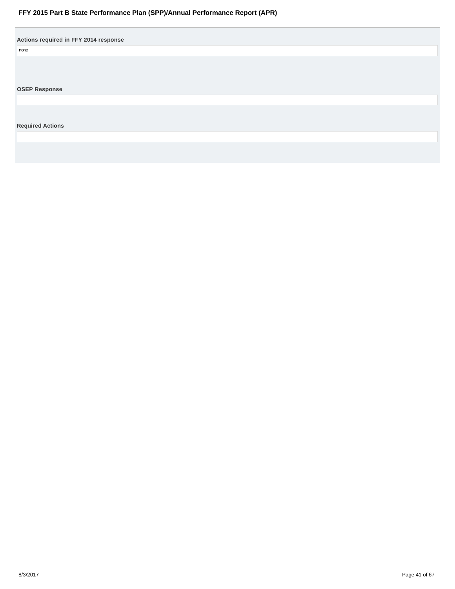<span id="page-40-0"></span>

| Actions required in FFY 2014 response |  |
|---------------------------------------|--|
| none                                  |  |
|                                       |  |
|                                       |  |
|                                       |  |
| <b>OSEP Response</b>                  |  |
|                                       |  |
|                                       |  |
|                                       |  |
| <b>Required Actions</b>               |  |
|                                       |  |
|                                       |  |
|                                       |  |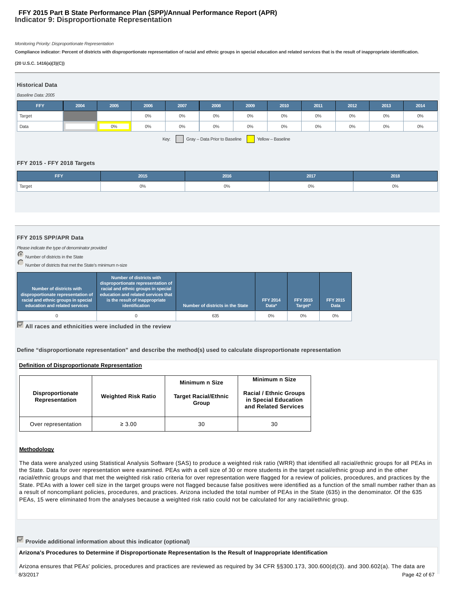# **Indicator 9: Disproportionate Representation FFY 2015 Part B State Performance Plan (SPP)/Annual Performance Report (APR)**

Monitoring Priority: Disproportionate Representation

**Compliance indicator: Percent of districts with disproportionate representation of racial and ethnic groups in special education and related services that is the result of inappropriate identification.**

#### **(20 U.S.C. 1416(a)(3)(C))**

| <b>Historical Data</b> |      |       |       |       |                               |       |                   |       |      |       |       |
|------------------------|------|-------|-------|-------|-------------------------------|-------|-------------------|-------|------|-------|-------|
| Baseline Data: 2005    |      |       |       |       |                               |       |                   |       |      |       |       |
| FFY                    | 2004 | 2005  | 2006  | 2007  | 2008                          | 2009  | 2010              | 2011  | 2012 | 2013  | 2014  |
| Target                 |      |       | $0\%$ | $0\%$ | $0\%$                         | 0%    | $0\%$             | $0\%$ | 0%   | $0\%$ | $0\%$ |
| Data                   |      | $0\%$ | $0\%$ | $0\%$ | $0\%$                         | $0\%$ | $0\%$             | $0\%$ | 0%   | $0\%$ | $0\%$ |
|                        |      |       |       | Key:  | Gray - Data Prior to Baseline |       | Yellow - Baseline |       |      |       |       |

### **FFY 2015 - FFY 2018 Targets**

| <b>FFY</b> | 2015  | 2016 | 2017 | 2018  |
|------------|-------|------|------|-------|
| Target     | $0\%$ | 0%   | 0%   | $0\%$ |
|            |       |      |      |       |

### **FFY 2015 SPP/APR Data**

Please indicate the type of denominator provided

Number of districts in the State

Number of districts that met the State's minimum n-size

| Number of districts with<br>disproportionate representation of<br>racial and ethnic groups in special<br>education and related services | Number of districts with<br>disproportionate representation of<br>racial and ethnic groups in special<br>education and related services that<br>is the result of inappropriate<br>identification | Number of districts in the State | <b>FFY 2014</b><br>Data* | <b>FFY 2015</b><br>Target* | <b>FFY 2015</b><br>Data |
|-----------------------------------------------------------------------------------------------------------------------------------------|--------------------------------------------------------------------------------------------------------------------------------------------------------------------------------------------------|----------------------------------|--------------------------|----------------------------|-------------------------|
|                                                                                                                                         |                                                                                                                                                                                                  | 635                              | 0%                       | 0%                         | 0%                      |

**All races and ethnicities were included in the review**

**Define "disproportionate representation" and describe the method(s) used to calculate disproportionate representation**

#### **Definition of Disproportionate Representation**

| <b>Disproportionate</b><br>Representation | <b>Weighted Risk Ratio</b> | Minimum n Size<br><b>Target Racial/Ethnic</b><br>Group | Minimum n Size<br><b>Racial / Ethnic Groups</b><br>in Special Education<br>and Related Services |
|-------------------------------------------|----------------------------|--------------------------------------------------------|-------------------------------------------------------------------------------------------------|
| Over representation                       | $\geq 3.00$                | 30                                                     | 30                                                                                              |

### **Methodology**

The data were analyzed using Statistical Analysis Software (SAS) to produce a weighted risk ratio (WRR) that identified all racial/ethnic groups for all PEAs in the State. Data for over representation were examined. PEAs with a cell size of 30 or more students in the target racial/ethnic group and in the other racial/ethnic groups and that met the weighted risk ratio criteria for over representation were flagged for a review of policies, procedures, and practices by the State. PEAs with a lower cell size in the target groups were not flagged because false positives were identified as a function of the small number rather than as a result of noncompliant policies, procedures, and practices. Arizona included the total number of PEAs in the State (635) in the denominator. Of the 635 PEAs, 15 were eliminated from the analyses because a weighted risk ratio could not be calculated for any racial/ethnic group.

**Provide additional information about this indicator (optional)**

**Arizona's Procedures to Determine if Disproportionate Representation Is the Result of Inappropriate Identification**

Arizona ensures that PEAs' policies, procedures and practices are reviewed as required by 34 CFR §§300.173, 300.600(d)(3). and 300.602(a). The data are 8/3/2017 Page 42 of 67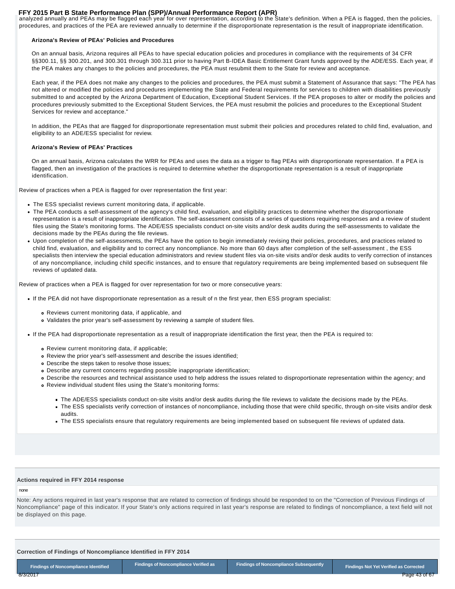FFY 2015 Part B State Performance Plan (SPP)/Annual Performance Report (APR)<br>analyzed annually and PEAs may be flagged each year for over representation, according to the State's definition. When a PEA is flagged, then the procedures, and practices of the PEA are reviewed annually to determine if the disproportionate representation is the result of inappropriate identification.

#### **Arizona's Review of PEAs' Policies and Procedures**

On an annual basis, Arizona requires all PEAs to have special education policies and procedures in compliance with the requirements of 34 CFR §§300.11, §§ 300.201, and 300.301 through 300.311 prior to having Part B-IDEA Basic Entitlement Grant funds approved by the ADE/ESS. Each year, if the PEA makes any changes to the policies and procedures, the PEA must resubmit them to the State for review and acceptance.

Each year, if the PEA does not make any changes to the policies and procedures, the PEA must submit a Statement of Assurance that says: "The PEA has not altered or modified the policies and procedures implementing the State and Federal requirements for services to children with disabilities previously submitted to and accepted by the Arizona Department of Education, Exceptional Student Services. If the PEA proposes to alter or modify the policies and procedures previously submitted to the Exceptional Student Services, the PEA must resubmit the policies and procedures to the Exceptional Student Services for review and acceptance."

In addition, the PEAs that are flagged for disproportionate representation must submit their policies and procedures related to child find, evaluation, and eligibility to an ADE/ESS specialist for review.

#### **Arizona's Review of PEAs' Practices**

On an annual basis, Arizona calculates the WRR for PEAs and uses the data as a trigger to flag PEAs with disproportionate representation. If a PEA is flagged, then an investigation of the practices is required to determine whether the disproportionate representation is a result of inappropriate identification.

Review of practices when a PEA is flagged for over representation the first year:

- The ESS specialist reviews current monitoring data, if applicable.
- The PEA conducts a self-assessment of the agency's child find, evaluation, and eligibility practices to determine whether the disproportionate representation is a result of inappropriate identification. The self-assessment consists of a series of questions requiring responses and a review of student files using the State's monitoring forms. The ADE/ESS specialists conduct on-site visits and/or desk audits during the self-assessments to validate the decisions made by the PEAs during the file reviews.
- Upon completion of the self-assessments, the PEAs have the option to begin immediately revising their policies, procedures, and practices related to child find, evaluation, and eligibility and to correct any noncompliance. No more than 60 days after completion of the self-assessment , the ESS specialists then interview the special education administrators and review student files via on-site visits and/or desk audits to verify correction of instances of any noncompliance, including child specific instances, and to ensure that regulatory requirements are being implemented based on subsequent file reviews of updated data.

Review of practices when a PEA is flagged for over representation for two or more consecutive years:

- If the PEA did not have disproportionate representation as a result of n the first year, then ESS program specialist:
	- Reviews current monitoring data, if applicable, and
	- Validates the prior year's self-assessment by reviewing a sample of student files.
- If the PEA had disproportionate representation as a result of inappropriate identification the first year, then the PEA is required to:
	- Review current monitoring data, if applicable;
	- Review the prior year's self-assessment and describe the issues identified;
	- Describe the steps taken to resolve those issues;
	- Describe any current concerns regarding possible inappropriate identification;
	- Describe the resources and technical assistance used to help address the issues related to disproportionate representation within the agency; and
	- Review individual student files using the State's monitoring forms:
		- The ADE/ESS specialists conduct on-site visits and/or desk audits during the file reviews to validate the decisions made by the PEAs.
		- The ESS specialists verify correction of instances of noncompliance, including those that were child specific, through on-site visits and/or desk audits.
		- The ESS specialists ensure that regulatory requirements are being implemented based on subsequent file reviews of updated data.

#### **Actions required in FFY 2014 response**

#### none

Note: Any actions required in last year's response that are related to correction of findings should be responded to on the "Correction of Previous Findings of Noncompliance" page of this indicator. If your State's only actions required in last year's response are related to findings of noncompliance, a text field will not be displayed on this page.

**Correction of Findings of Noncompliance Identified in FFY 2014**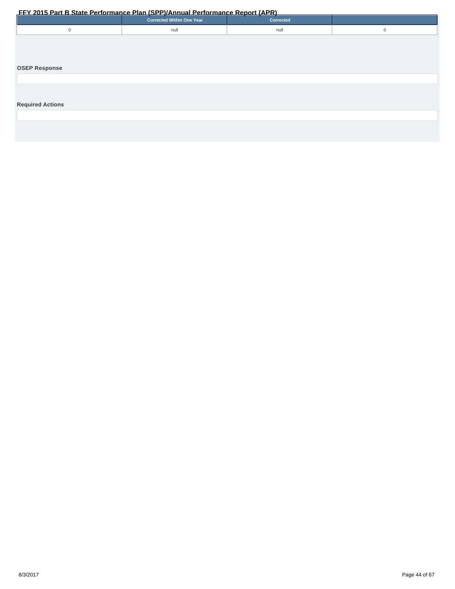<span id="page-43-0"></span>

|                         | The zonal art blank renormance rian for rightmoan enormance report (Arty).<br><b>Corrected Within One Year</b> | Corrected |             |
|-------------------------|----------------------------------------------------------------------------------------------------------------|-----------|-------------|
| $\mathbf 0$             | null                                                                                                           | null      | $\mathbf 0$ |
|                         |                                                                                                                |           |             |
|                         |                                                                                                                |           |             |
|                         |                                                                                                                |           |             |
| <b>OSEP Response</b>    |                                                                                                                |           |             |
|                         |                                                                                                                |           |             |
|                         |                                                                                                                |           |             |
|                         |                                                                                                                |           |             |
| <b>Required Actions</b> |                                                                                                                |           |             |
|                         |                                                                                                                |           |             |
|                         |                                                                                                                |           |             |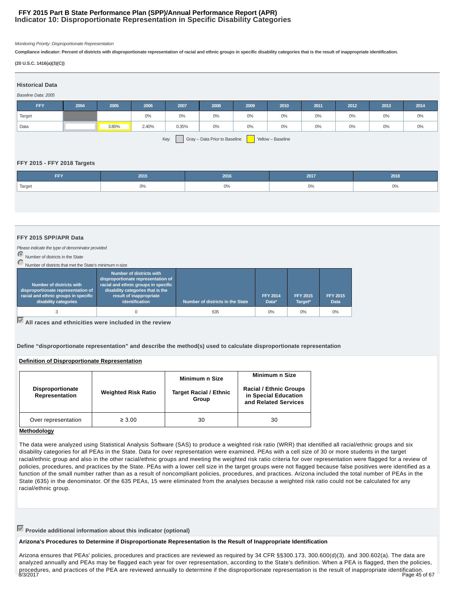# **Indicator 10: Disproportionate Representation in Specific Disability Categories FFY 2015 Part B State Performance Plan (SPP)/Annual Performance Report (APR)**

Monitoring Priority: Disproportionate Representation

**Compliance indicator: Percent of districts with disproportionate representation of racial and ethnic groups in specific disability categories that is the result of inappropriate identification.**

#### **(20 U.S.C. 1416(a)(3)(C))**

| <b>Historical Data</b> |      |       |       |       |                               |      |                   |       |       |       |       |
|------------------------|------|-------|-------|-------|-------------------------------|------|-------------------|-------|-------|-------|-------|
| Baseline Data: 2005    |      |       |       |       |                               |      |                   |       |       |       |       |
| <b>FFY</b>             | 2004 | 2005  | 2006  | 2007  | 2008                          | 2009 | 2010              | 2011  | 2012  | 2013  | 2014  |
| Target                 |      |       | $0\%$ | $0\%$ | $0\%$                         | 0%   | $0\%$             | $0\%$ | $0\%$ | $0\%$ | $0\%$ |
| Data                   |      | 3.80% | 2.40% | 0.35% | $0\%$                         | 0%   | $0\%$             | $0\%$ | $0\%$ | $0\%$ | $0\%$ |
|                        |      |       |       | Key:  | Gray - Data Prior to Baseline |      | Yellow - Baseline |       |       |       |       |

### **FFY 2015 - FFY 2018 Targets**

| FFY    | 2015  | 2016 | 2017 | 2018  |
|--------|-------|------|------|-------|
| Target | $0\%$ | 0%   | 0%   | $0\%$ |
|        |       |      |      |       |

#### **FFY 2015 SPP/APR Data**

Please indicate the type of denominator provided

Number of districts in the State

Number of districts that met the St

| Number of districts with<br>disproportionate representation of<br>racial and ethnic groups in specific<br>disability categories | Number of districts with<br>disproportionate representation of<br>racial and ethnic groups in specific<br>disability categories that is the<br>result of inappropriate<br>identification | Number of districts in the State | <b>FFY 2014</b><br>Data* | <b>FFY 2015</b><br>Target* | <b>FFY 2015</b><br><b>Data</b> |
|---------------------------------------------------------------------------------------------------------------------------------|------------------------------------------------------------------------------------------------------------------------------------------------------------------------------------------|----------------------------------|--------------------------|----------------------------|--------------------------------|
|                                                                                                                                 |                                                                                                                                                                                          | 635                              | 0%                       | 0%                         | 0%                             |

**All races and ethnicities were included in the review**

**Define "disproportionate representation" and describe the method(s) used to calculate disproportionate representation**

### **Definition of Disproportionate Representation**

| <b>Disproportionate</b><br>Representation | <b>Weighted Risk Ratio</b> | Minimum n Size<br><b>Target Racial / Ethnic</b><br>Group | Minimum n Size<br><b>Racial / Ethnic Groups</b><br>in Special Education<br>and Related Services |
|-------------------------------------------|----------------------------|----------------------------------------------------------|-------------------------------------------------------------------------------------------------|
| Over representation                       | $\geq 3.00$                | 30                                                       | 30                                                                                              |

#### **Methodology**

The data were analyzed using Statistical Analysis Software (SAS) to produce a weighted risk ratio (WRR) that identified all racial/ethnic groups and six disability categories for all PEAs in the State. Data for over representation were examined. PEAs with a cell size of 30 or more students in the target racial/ethnic group and also in the other racial/ethnic groups and meeting the weighted risk ratio criteria for over representation were flagged for a review of policies, procedures, and practices by the State. PEAs with a lower cell size in the target groups were not flagged because false positives were identified as a function of the small number rather than as a result of noncompliant policies, procedures, and practices. Arizona included the total number of PEAs in the State (635) in the denominator. Of the 635 PEAs, 15 were eliminated from the analyses because a weighted risk ratio could not be calculated for any racial/ethnic group.

# **Provide additional information about this indicator (optional)**

#### **Arizona's Procedures to Determine if Disproportionate Representation Is the Result of Inappropriate Identification**

Arizona ensures that PEAs' policies, procedures and practices are reviewed as required by 34 CFR §§300.173, 300.600(d)(3). and 300.602(a). The data are analyzed annually and PEAs may be flagged each year for over representation, according to the State's definition. When a PEA is flagged, then the policies, procedures, and practices of the PEA are reviewed annually to determine if the disproportionate representation is the result of inappropriate identification.<br>8/3/2017 Page 45 of 67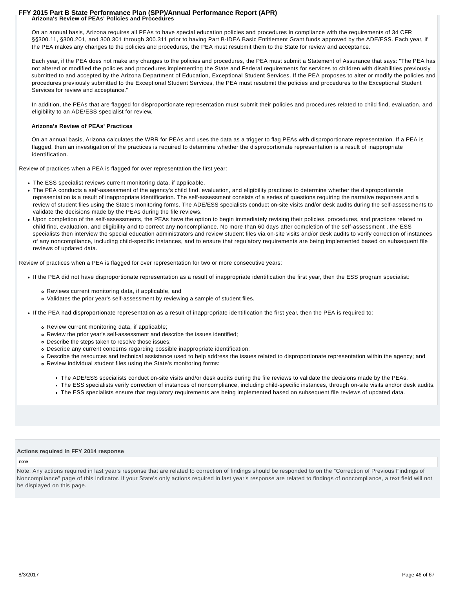#### **Arizona's Review of PEAs' Policies and Procedures FFY 2015 Part B State Performance Plan (SPP)/Annual Performance Report (APR)**

On an annual basis, Arizona requires all PEAs to have special education policies and procedures in compliance with the requirements of 34 CFR §§300.11, §300.201, and 300.301 through 300.311 prior to having Part B-IDEA Basic Entitlement Grant funds approved by the ADE/ESS. Each year, if the PEA makes any changes to the policies and procedures, the PEA must resubmit them to the State for review and acceptance.

Each year, if the PEA does not make any changes to the policies and procedures, the PEA must submit a Statement of Assurance that says: "The PEA has not altered or modified the policies and procedures implementing the State and Federal requirements for services to children with disabilities previously submitted to and accepted by the Arizona Department of Education, Exceptional Student Services. If the PEA proposes to alter or modify the policies and procedures previously submitted to the Exceptional Student Services, the PEA must resubmit the policies and procedures to the Exceptional Student Services for review and acceptance."

In addition, the PEAs that are flagged for disproportionate representation must submit their policies and procedures related to child find, evaluation, and eligibility to an ADE/ESS specialist for review.

### **Arizona's Review of PEAs' Practices**

On an annual basis, Arizona calculates the WRR for PEAs and uses the data as a trigger to flag PEAs with disproportionate representation. If a PEA is flagged, then an investigation of the practices is required to determine whether the disproportionate representation is a result of inappropriate identification.

Review of practices when a PEA is flagged for over representation the first year:

- The ESS specialist reviews current monitoring data, if applicable.
- The PEA conducts a self-assessment of the agency's child find, evaluation, and eligibility practices to determine whether the disproportionate representation is a result of inappropriate identification. The self-assessment consists of a series of questions requiring the narrative responses and a review of student files using the State's monitoring forms. The ADE/ESS specialists conduct on-site visits and/or desk audits during the self-assessments to validate the decisions made by the PEAs during the file reviews.
- Upon completion of the self-assessments, the PEAs have the option to begin immediately revising their policies, procedures, and practices related to child find, evaluation, and eligibility and to correct any noncompliance. No more than 60 days after completion of the self-assessment , the ESS specialists then interview the special education administrators and review student files via on-site visits and/or desk audits to verify correction of instances of any noncompliance, including child-specific instances, and to ensure that regulatory requirements are being implemented based on subsequent file reviews of updated data.

Review of practices when a PEA is flagged for over representation for two or more consecutive years:

- If the PEA did not have disproportionate representation as a result of inappropriate identification the first year, then the ESS program specialist:
	- Reviews current monitoring data, if applicable, and
	- Validates the prior year's self-assessment by reviewing a sample of student files.
- If the PEA had disproportionate representation as a result of inappropriate identification the first year, then the PEA is required to:
	- Review current monitoring data, if applicable;
	- Review the prior year's self-assessment and describe the issues identified;
	- Describe the steps taken to resolve those issues;
	- Describe any current concerns regarding possible inappropriate identification;
	- Describe the resources and technical assistance used to help address the issues related to disproportionate representation within the agency; and
	- Review individual student files using the State's monitoring forms:
		- The ADE/ESS specialists conduct on-site visits and/or desk audits during the file reviews to validate the decisions made by the PEAs.
		- The ESS specialists verify correction of instances of noncompliance, including child-specific instances, through on-site visits and/or desk audits.
		- The ESS specialists ensure that regulatory requirements are being implemented based on subsequent file reviews of updated data.

#### **Actions required in FFY 2014 response**

none

Note: Any actions required in last year's response that are related to correction of findings should be responded to on the "Correction of Previous Findings of Noncompliance" page of this indicator. If your State's only actions required in last year's response are related to findings of noncompliance, a text field will not be displayed on this page.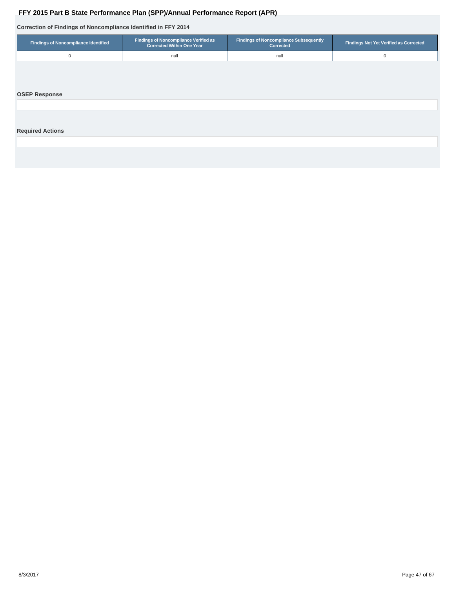# **Correction of Findings of Noncompliance Identified in FFY 2014**

<span id="page-46-0"></span>

|                                                                | FFY 2015 Part B State Performance Plan (SPP)/Annual Performance Report (APR) |                                                            |                                               |
|----------------------------------------------------------------|------------------------------------------------------------------------------|------------------------------------------------------------|-----------------------------------------------|
| Correction of Findings of Noncompliance Identified in FFY 2014 |                                                                              |                                                            |                                               |
| <b>Findings of Noncompliance Identified</b>                    | Findings of Noncompliance Verified as<br><b>Corrected Within One Year</b>    | <b>Findings of Noncompliance Subsequently</b><br>Corrected | <b>Findings Not Yet Verified as Corrected</b> |
| $\mathbf 0$                                                    | null                                                                         | null                                                       | 0                                             |
| <b>OSEP Response</b>                                           |                                                                              |                                                            |                                               |
| <b>Required Actions</b>                                        |                                                                              |                                                            |                                               |
|                                                                |                                                                              |                                                            |                                               |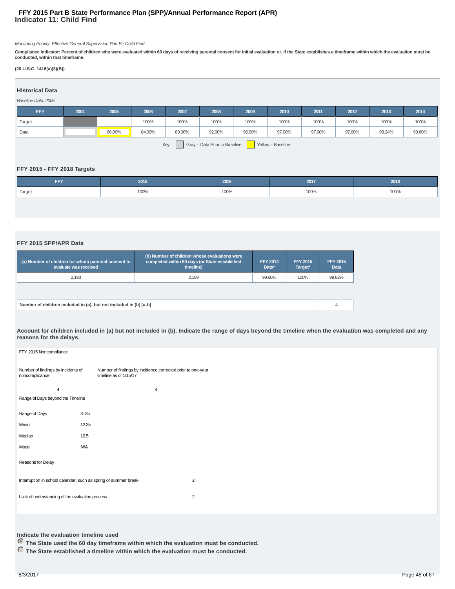# **Indicator 11: Child Find FFY 2015 Part B State Performance Plan (SPP)/Annual Performance Report (APR)**

Monitoring Priority: Effective General Supervision Part B / Child Find

**Compliance indicator: Percent of children who were evaluated within 60 days of receiving parental consent for initial evaluation or, if the State establishes a timeframe within which the evaluation must be conducted, within that timeframe.**

### **(20 U.S.C. 1416(a)(3)(B))**

#### **Historical Data**

#### Baseline Data: 2005

| <b>FFY</b> | 2004 | 2005   | 2006   | 2007   | 2008   | 2009   | 2010   | 2011   | 2012   | 2013   | 2014   |
|------------|------|--------|--------|--------|--------|--------|--------|--------|--------|--------|--------|
| Target     |      |        | 100%   | 100%   | 100%   | 100%   | 100%   | 100%   | 100%   | 100%   | 100%   |
| Data       |      | 86.00% | 84.00% | 89.00% | 92.00% | 96.00% | 97.00% | 97.00% | 97.00% | 98.24% | 99.60% |
|            |      |        |        |        |        | $\sim$ |        |        |        |        |        |

Key: Gray – Data Prior to Baseline Yellow – Baseline

#### **FFY 2015 - FFY 2018 Targets**

|                                             | 2018 |
|---------------------------------------------|------|
| <sup>1</sup> Target<br>100%<br>100%<br>100% | 100% |

#### **FFY 2015 SPP/APR Data**

| (a) Number of children for whom parental consent to<br>evaluate was received | (b) Number of children whose evaluations were<br>completed within 60 days (or State-established<br>timeline) | <b>FFY 2014</b><br>Data* | <b>FFY 2015</b><br>Target* | <b>FFY 2015</b><br><b>Data</b> |  |  |  |  |
|------------------------------------------------------------------------------|--------------------------------------------------------------------------------------------------------------|--------------------------|----------------------------|--------------------------------|--|--|--|--|
| 2.193                                                                        | 2.189                                                                                                        | 99.60%                   | 100%                       | 99.82%                         |  |  |  |  |
|                                                                              |                                                                                                              |                          |                            |                                |  |  |  |  |
| Number of children included in (a), but not included in (b) [a-b]            |                                                                                                              |                          |                            |                                |  |  |  |  |

**Account for children included in (a) but not included in (b). Indicate the range of days beyond the timeline when the evaluation was completed and any reasons for the delays.**

| FFY 2015 Noncompliance                               |                                                                                       |
|------------------------------------------------------|---------------------------------------------------------------------------------------|
| Number of findings by incidents of<br>noncomplicance | Number of findings by incidence corrected prior to one-year<br>timeline as of 1/15/17 |
| $\overline{4}$                                       | 4                                                                                     |
| Range of Days beyond the Timeline                    |                                                                                       |
| Range of Days                                        | $3 - 25$                                                                              |
| Mean                                                 | 12.25                                                                                 |
| Median                                               | 10.5                                                                                  |
| Mode                                                 | N/A                                                                                   |
| Reasons for Delay                                    |                                                                                       |
|                                                      | Interruption in school calendar, such as spring or summer break<br>$\overline{2}$     |
| Lack of understanding of the evaluation process      | $\overline{2}$                                                                        |
|                                                      |                                                                                       |

# **Indicate the evaluation timeline used**

 **The State used the 60 day timeframe within which the evaluation must be conducted.**

 **The State established a timeline within which the evaluation must be conducted.**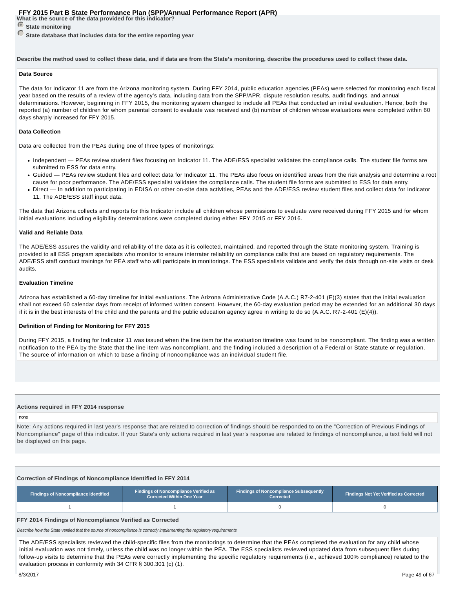**What is the source of the data provided for this indicator?**

*<u>State monitoring</u>* 

 **State database that includes data for the entire reporting year**

**Describe the method used to collect these data, and if data are from the State's monitoring, describe the procedures used to collect these data.**

#### **Data Source**

The data for Indicator 11 are from the Arizona monitoring system. During FFY 2014, public education agencies (PEAs) were selected for monitoring each fiscal year based on the results of a review of the agency's data, including data from the SPP/APR, dispute resolution results, audit findings, and annual determinations. However, beginning in FFY 2015, the monitoring system changed to include all PEAs that conducted an initial evaluation. Hence, both the reported (a) number of children for whom parental consent to evaluate was received and (b) number of children whose evaluations were completed within 60 days sharply increased for FFY 2015.

#### **Data Collection**

Data are collected from the PEAs during one of three types of monitorings:

- Independent PEAs review student files focusing on Indicator 11. The ADE/ESS specialist validates the compliance calls. The student file forms are submitted to ESS for data entry.
- Guided PEAs review student files and collect data for Indicator 11. The PEAs also focus on identified areas from the risk analysis and determine a root cause for poor performance. The ADE/ESS specialist validates the compliance calls. The student file forms are submitted to ESS for data entry.
- Direct In addition to participating in EDISA or other on-site data activities, PEAs and the ADE/ESS review student files and collect data for Indicator 11. The ADE/ESS staff input data.

The data that Arizona collects and reports for this Indicator include all children whose permissions to evaluate were received during FFY 2015 and for whom initial evaluations including eligibility determinations were completed during either FFY 2015 or FFY 2016.

#### **Valid and Reliable Data**

The ADE/ESS assures the validity and reliability of the data as it is collected, maintained, and reported through the State monitoring system. Training is provided to all ESS program specialists who monitor to ensure interrater reliability on compliance calls that are based on regulatory requirements. The ADE/ESS staff conduct trainings for PEA staff who will participate in monitorings. The ESS specialists validate and verify the data through on-site visits or desk audits.

#### **Evaluation Timeline**

Arizona has established a 60-day timeline for initial evaluations. The Arizona Administrative Code (A.A.C.) R7-2-401 (E)(3) states that the initial evaluation shall not exceed 60 calendar days from receipt of informed written consent. However, the 60-day evaluation period may be extended for an additional 30 days if it is in the best interests of the child and the parents and the public education agency agree in writing to do so (A.A.C. R7-2-401 (E)(4)).

#### **Definition of Finding for Monitoring for FFY 2015**

During FFY 2015, a finding for Indicator 11 was issued when the line item for the evaluation timeline was found to be noncompliant. The finding was a written notification to the PEA by the State that the line item was noncompliant, and the finding included a description of a Federal or State statute or regulation. The source of information on which to base a finding of noncompliance was an individual student file.

#### **Actions required in FFY 2014 response**

### none

Note: Any actions required in last year's response that are related to correction of findings should be responded to on the "Correction of Previous Findings of Noncompliance" page of this indicator. If your State's only actions required in last year's response are related to findings of noncompliance, a text field will not be displayed on this page.

### **Correction of Findings of Noncompliance Identified in FFY 2014**

| <b>Findings of Noncompliance Identified</b> | <b>Findings of Noncompliance Verified as</b><br><b>Corrected Within One Year</b> | <b>Findings of Noncompliance Subsequently</b><br>Corrected | <b>Findings Not Yet Verified as Corrected</b> |  |
|---------------------------------------------|----------------------------------------------------------------------------------|------------------------------------------------------------|-----------------------------------------------|--|
|                                             |                                                                                  |                                                            |                                               |  |

# **FFY 2014 Findings of Noncompliance Verified as Corrected**

Describe how the State verified that the source of noncompliance is correctly implementing the regulatory requirements

The ADE/ESS specialists reviewed the child-specific files from the monitorings to determine that the PEAs completed the evaluation for any child whose initial evaluation was not timely, unless the child was no longer within the PEA. The ESS specialists reviewed updated data from subsequent files during follow-up visits to determine that the PEAs were correctly implementing the specific regulatory requirements (i.e., achieved 100% compliance) related to the evaluation process in conformity with 34 CFR § 300.301 (c) (1).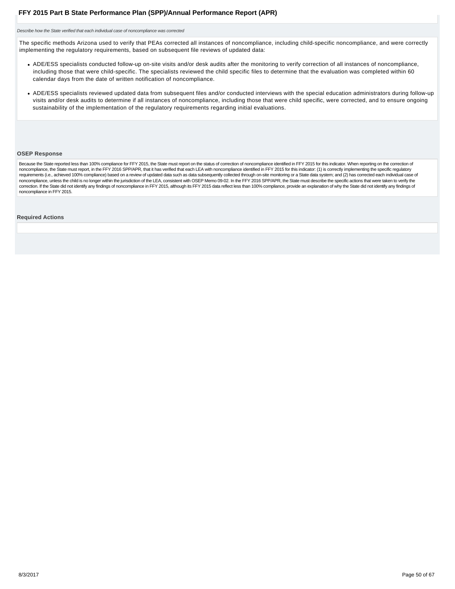<span id="page-49-0"></span>Describe how the State verified that each individual case of noncompliance was corrected

The specific methods Arizona used to verify that PEAs corrected all instances of noncompliance, including child-specific noncompliance, and were correctly implementing the regulatory requirements, based on subsequent file reviews of updated data:

- ADE/ESS specialists conducted follow-up on-site visits and/or desk audits after the monitoring to verify correction of all instances of noncompliance, including those that were child-specific. The specialists reviewed the child specific files to determine that the evaluation was completed within 60 calendar days from the date of written notification of noncompliance.
- ADE/ESS specialists reviewed updated data from subsequent files and/or conducted interviews with the special education administrators during follow-up visits and/or desk audits to determine if all instances of noncompliance, including those that were child specific, were corrected, and to ensure ongoing sustainability of the implementation of the regulatory requirements regarding initial evaluations.

#### **OSEP Response**

Because the State reported less than 100% compliance for FFY 2015, the State must report on the status of correction of noncompliance identified in FFY 2015 for this indicator. When reporting on the correction of noncompliance, the State must report, in the FFY 2016 SPP/APR, that it has verified that each LEA with noncompliance identified in FFY 2015 for this indicator: (1) is correctly implementing the specific regulatory requirements (i.e., achieved 100% compliance) based on a review of updated data such as data subsequently collected through on-site monitoring or a State data system; and (2) has corrected each individual case of noncompliance, unless the child is no longer within the jurisdiction of the LEA, consistent with OSEP Memo 09-02. In the FFY 2016 SPP/APR, the State must describe the specific actions that were taken to verify the correction. If the State did not identify any findings of noncompliance in FFY 2015, although its FFY 2015 data reflect less than 100% compliance, provide an explanation of why the State did not identify any findings of noncompliance in FFY 2015.

#### **Required Actions**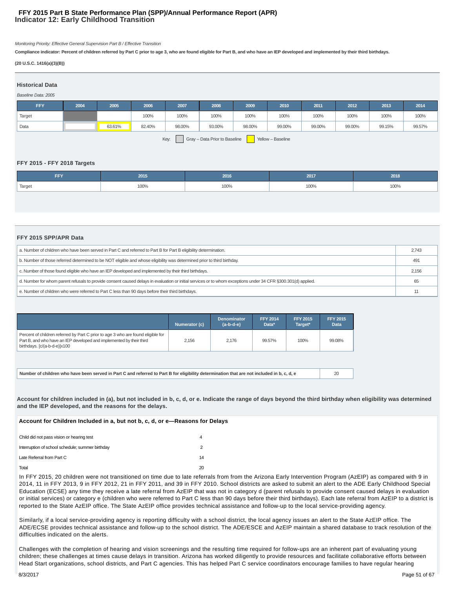# **Indicator 12: Early Childhood Transition FFY 2015 Part B State Performance Plan (SPP)/Annual Performance Report (APR)**

Monitoring Priority: Effective General Supervision Part B / Effective Transition

**Compliance indicator: Percent of children referred by Part C prior to age 3, who are found eligible for Part B, and who have an IEP developed and implemented by their third birthdays.**

#### **(20 U.S.C. 1416(a)(3)(B))**

| <b>Historical Data</b>                                                                                   |      |      |      |      |      |      |      |      |      |      |      |
|----------------------------------------------------------------------------------------------------------|------|------|------|------|------|------|------|------|------|------|------|
| Baseline Data: 2005                                                                                      |      |      |      |      |      |      |      |      |      |      |      |
| <b>FFY</b>                                                                                               | 2004 | 2005 | 2006 | 2007 | 2008 | 2009 | 2010 | 2011 | 2012 | 2013 | 2014 |
| Target                                                                                                   |      |      | 100% | 100% | 100% | 100% | 100% | 100% | 100% | 100% | 100% |
| Data<br>99.57%<br>63.61%<br>82.40%<br>98.00%<br>93.00%<br>98.00%<br>99.00%<br>99.00%<br>99.00%<br>99.15% |      |      |      |      |      |      |      |      |      |      |      |
| Gray - Data Prior to Baseline<br>Key:<br>Yellow - Baseline                                               |      |      |      |      |      |      |      |      |      |      |      |

### **FFY 2015 - FFY 2018 Targets**

| <b>FFY</b>          | 2015 | 2016 | 2017 | 2018 |
|---------------------|------|------|------|------|
| <sup>'</sup> Target | 100% | 100% | 100% | 100% |
|                     |      |      |      |      |

#### **FFY 2015 SPP/APR Data**

| a. Number of children who have been served in Part C and referred to Part B for Part B eligibility determination.                                             |  |  |  |  |
|---------------------------------------------------------------------------------------------------------------------------------------------------------------|--|--|--|--|
| b. Number of those referred determined to be NOT eligible and whose eligibility was determined prior to third birthday.                                       |  |  |  |  |
| c. Number of those found eligible who have an IEP developed and implemented by their third birthdays.                                                         |  |  |  |  |
| d. Number for whom parent refusals to provide consent caused delays in evaluation or initial services or to whom exceptions under 34 CFR §300.301(d) applied. |  |  |  |  |
| e. Number of children who were referred to Part C less than 90 days before their third birthdays.                                                             |  |  |  |  |

|                                                                                                                                                                                          | Numerator (c) | <b>Denominator</b><br>$(a-b-d-e)$ | <b>FFY 2014</b><br>Data* | <b>FFY 2015</b><br>Target* | <b>FFY 2015</b><br><b>Data</b> |
|------------------------------------------------------------------------------------------------------------------------------------------------------------------------------------------|---------------|-----------------------------------|--------------------------|----------------------------|--------------------------------|
| Percent of children referred by Part C prior to age 3 who are found eligible for<br>Part B, and who have an IEP developed and implemented by their third<br>birthdays. [c/(a-b-d-e)]x100 | 2.156         | 2.176                             | 99.57%                   | 100%                       | 99.08%                         |
|                                                                                                                                                                                          |               |                                   |                          |                            |                                |

**Number of children who have been served in Part C and referred to Part B for eligibility determination that are not included in b, c, d, e** 20

**Account for children included in (a), but not included in b, c, d, or e. Indicate the range of days beyond the third birthday when eligibility was determined and the IEP developed, and the reasons for the delays.**

**Account for Children Included in a, but not b, c, d, or e—Reasons for Delays**

| Child did not pass vision or hearing test        |              |
|--------------------------------------------------|--------------|
| Interruption of school schedule; summer birthday |              |
| Late Referral from Part C                        | 14           |
| Total                                            | $20^{\circ}$ |

In FFY 2015, 20 children were not transitioned on time due to late referrals from from the Arizona Early Intervention Program (AzEIP) as compared with 9 in 2014, 11 in FFY 2013, 9 in FFY 2012, 21 in FFY 2011, and 39 in FFY 2010. School districts are asked to submit an alert to the ADE Early Childhood Special Education (ECSE) any time they receive a late referral from AzEIP that was not in category d (parent refusals to provide consent caused delays in evaluation or initial services) or category e (children who were referred to Part C less than 90 days before their third birthdays). Each late referral from AzEIP to a district is reported to the State AzEIP office. The State AzEIP office provides technical assistance and follow-up to the local service-providing agency.

Similarly, if a local service-providing agency is reporting difficulty with a school district, the local agency issues an alert to the State AzEIP office. The ADE/ECSE provides technical assistance and follow-up to the school district. The ADE/ESCE and AzEIP maintain a shared database to track resolution of the difficulties indicated on the alerts.

Challenges with the completion of hearing and vision screenings and the resulting time required for follow-ups are an inherent part of evaluating young children; these challenges at times cause delays in transition. Arizona has worked diligently to provide resources and facilitate collaborative efforts between Head Start organizations, school districts, and Part C agencies. This has helped Part C service coordinators encourage families to have regular hearing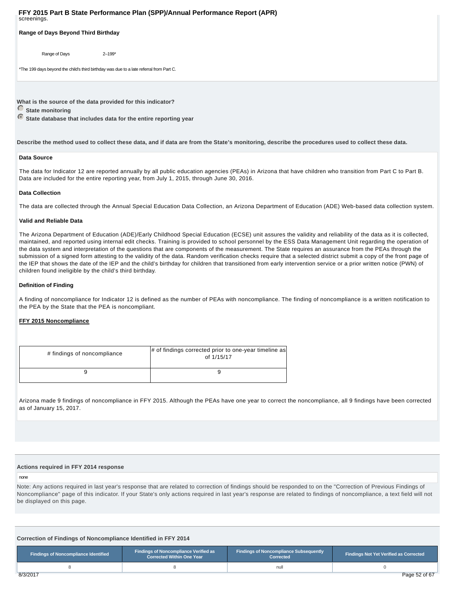**Range of Days Beyond Third Birthday** 

Range of Days 2-199\*

\*The 199 days beyond the child's third birthday was due to a late referral from Part C.

**What is the source of the data provided for this indicator?**

**C** State monitoring

 **State database that includes data for the entire reporting year**

**Describe the method used to collect these data, and if data are from the State's monitoring, describe the procedures used to collect these data.**

#### **Data Source**

The data for Indicator 12 are reported annually by all public education agencies (PEAs) in Arizona that have children who transition from Part C to Part B. Data are included for the entire reporting year, from July 1, 2015, through June 30, 2016.

#### **Data Collection**

The data are collected through the Annual Special Education Data Collection, an Arizona Department of Education (ADE) Web-based data collection system.

#### **Valid and Reliable Data**

The Arizona Department of Education (ADE)/Early Childhood Special Education (ECSE) unit assures the validity and reliability of the data as it is collected, maintained, and reported using internal edit checks. Training is provided to school personnel by the ESS Data Management Unit regarding the operation of the data system and interpretation of the questions that are components of the measurement. The State requires an assurance from the PEAs through the submission of a signed form attesting to the validity of the data. Random verification checks require that a selected district submit a copy of the front page of the IEP that shows the date of the IEP and the child's birthday for children that transitioned from early intervention service or a prior written notice (PWN) of children found ineligible by the child's third birthday.

#### **Definition of Finding**

A finding of noncompliance for Indicator 12 is defined as the number of PEAs with noncompliance. The finding of noncompliance is a written notification to the PEA by the State that the PEA is noncompliant.

### **FFY 2015 Noncompliance**

| # findings of noncompliance | # of findings corrected prior to one-year timeline as<br>of 1/15/17 |
|-----------------------------|---------------------------------------------------------------------|
|                             |                                                                     |

Arizona made 9 findings of noncompliance in FFY 2015. Although the PEAs have one year to correct the noncompliance, all 9 findings have been corrected as of January 15, 2017.

#### **Actions required in FFY 2014 response**

#### none

Note: Any actions required in last year's response that are related to correction of findings should be responded to on the "Correction of Previous Findings of Noncompliance" page of this indicator. If your State's only actions required in last year's response are related to findings of noncompliance, a text field will not be displayed on this page.

**Correction of Findings of Noncompliance Identified in FFY 2014**

| Findings of Noncompliance Identified | <b>Findings of Noncompliance Verified as</b><br><b>Corrected Within One Year</b> | <b>Findings of Noncompliance Subsequently</b><br>Corrected | <b>Findings Not Yet Verified as Corrected</b> |  |
|--------------------------------------|----------------------------------------------------------------------------------|------------------------------------------------------------|-----------------------------------------------|--|
|                                      |                                                                                  | null                                                       |                                               |  |
| 8/3/2017                             |                                                                                  |                                                            | Page 52 of 67                                 |  |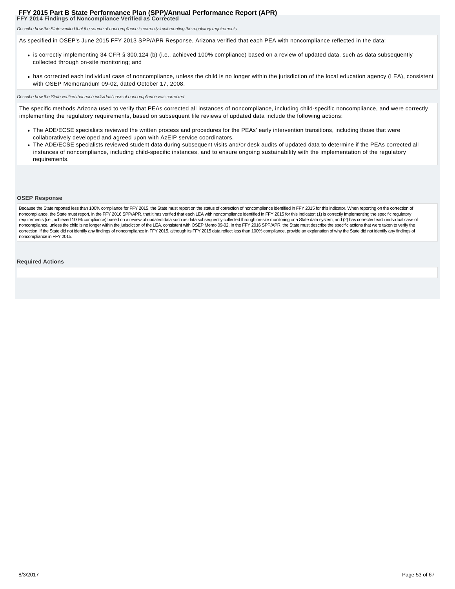<span id="page-52-0"></span>**FFY 2014 Findings of Noncompliance Verified as Corrected**

Describe how the State verified that the source of noncompliance is correctly implementing the regulatory requirements

As specified in OSEP's June 2015 FFY 2013 SPP/APR Response, Arizona verified that each PEA with noncompliance reflected in the data:

- is correctly implementing 34 CFR § 300.124 (b) (i.e., achieved 100% compliance) based on a review of updated data, such as data subsequently collected through on-site monitoring; and
- has corrected each individual case of noncompliance, unless the child is no longer within the jurisdiction of the local education agency (LEA), consistent with OSEP Memorandum 09-02, dated October 17, 2008.

Describe how the State verified that each individual case of noncompliance was corrected

The specific methods Arizona used to verify that PEAs corrected all instances of noncompliance, including child-specific noncompliance, and were correctly implementing the regulatory requirements, based on subsequent file reviews of updated data include the following actions:

- The ADE/ECSE specialists reviewed the written process and procedures for the PEAs' early intervention transitions, including those that were collaboratively developed and agreed upon with AzEIP service coordinators.
- The ADE/ECSE specialists reviewed student data during subsequent visits and/or desk audits of updated data to determine if the PEAs corrected all instances of noncompliance, including child-specific instances, and to ensure ongoing sustainability with the implementation of the regulatory requirements.

#### **OSEP Response**

Because the State reported less than 100% compliance for FFY 2015, the State must report on the status of correction of noncompliance identified in FFY 2015 for this indicator. When reporting on the correction of noncompliance, the State must report, in the FFY 2016 SPP/APR, that it has verified that each LEA with noncompliance identified in FFY 2015 for this indicator: (1) is correctly implementing the specific regulatory requirements (i.e., achieved 100% compliance) based on a review of updated data such as data subsequently collected through on-site monitoring or a State data system; and (2) has corrected each individual case of noncompliance, unless the child is no longer within the jurisdiction of the LEA, consistent with OSEP Memo 09-02. In the FFY 2016 SPP/APR, the State must describe the specific actions that were taken to verify the correction. If the State did not identify any findings of noncompliance in FFY 2015, although its FFY 2015 data reflect less than 100% compliance, provide an explanation of why the State did not identify any findings of noncompliance in FFY 2015.

#### **Required Actions**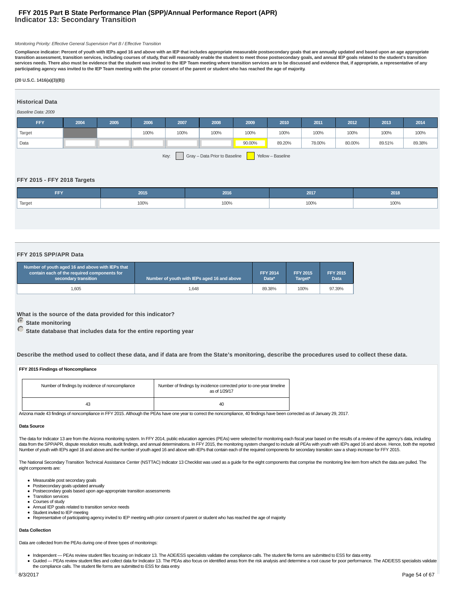# **Indicator 13: Secondary Transition FFY 2015 Part B State Performance Plan (SPP)/Annual Performance Report (APR)**

#### Monitoring Priority: Effective General Supervision Part B / Effective Transition

**Compliance indicator: Percent of youth with IEPs aged 16 and above with an IEP that includes appropriate measurable postsecondary goals that are annually updated and based upon an age appropriate transition assessment, transition services, including courses of study, that will reasonably enable the student to meet those postsecondary goals, and annual IEP goals related to the student's transition services needs. There also must be evidence that the student was invited to the IEP Team meeting where transition services are to be discussed and evidence that, if appropriate, a representative of any participating agency was invited to the IEP Team meeting with the prior consent of the parent or student who has reached the age of majority.**

#### **(20 U.S.C. 1416(a)(3)(B))**

# **Historical Data**

#### Baseline Data: 2009

| <b>FFY</b>                                                 | 2004 | 2005 | 2006 | 2007 | 2008 | 2009   | 2010   | 2011   | 2012   | 2013   | 2014   |
|------------------------------------------------------------|------|------|------|------|------|--------|--------|--------|--------|--------|--------|
| Target                                                     |      |      | 100% | 100% | 100% | 100%   | 100%   | 100%   | 100%   | 100%   | 100%   |
| Data                                                       |      |      |      |      |      | 90.00% | 89.20% | 78.00% | 80.00% | 89.51% | 89.38% |
| Key:<br>Gray - Data Prior to Baseline<br>Yellow - Baseline |      |      |      |      |      |        |        |        |        |        |        |

#### **FFY 2015 - FFY 2018 Targets**

| FFY    | 2015 | 2016 | 2017 | 2018 |
|--------|------|------|------|------|
| Target | 100% | 100% | 100% | 100% |
|        |      |      |      |      |

#### **FFY 2015 SPP/APR Data**

| Number of youth aged 16 and above with IEPs that<br>contain each of the required components for<br>secondary transition | Number of youth with IEPs aged 16 and above | <b>FFY 2014</b><br>Data* | <b>FFY 2015</b><br>Target* | <b>FFY 2015</b><br><b>Data</b> |
|-------------------------------------------------------------------------------------------------------------------------|---------------------------------------------|--------------------------|----------------------------|--------------------------------|
| .605                                                                                                                    | 1.648                                       | 89.38%                   | 100%                       | 97.39%                         |

**What is the source of the data provided for this indicator?**

 **State monitoring**

 **State database that includes data for the entire reporting year**

**Describe the method used to collect these data, and if data are from the State's monitoring, describe the procedures used to collect these data.**

#### **FFY 2015 Findings of Noncompliance**

| Number of findings by incidence of noncompliance | Number of findings by incidence corrected prior to one-year timeline<br>as of 1/29/17 |
|--------------------------------------------------|---------------------------------------------------------------------------------------|
| 43                                               | 40                                                                                    |

Arizona made 43 findings of noncompliance in FFY 2015. Although the PEAs have one year to correct the noncompliance, 40 findings have been corrected as of January 29, 2017.

#### **Data Source**

The data for Indicator 13 are from the Arizona monitoring system. In FFY 2014, public education agencies (PEAs) were selected for monitoring each fiscal year based on the results of a review of the agency's data, including data from the SPP/APR, dispute resolution results, audit findings, and annual determinations. In FFY 2015, the monitoring system changed to include all PEAs with youth with IEPs aged 16 and above. Hence, both the reported Number of youth with IEPs aged 16 and above and the number of youth aged 16 and above with IEPs that contain each of the required components for secondary transition saw a sharp increase for FFY 2015.

The National Secondary Transition Technical Assistance Center (NSTTAC) Indicator 13 Checklist was used as a guide for the eight components that comprise the monitoring line item from which the data are pulled. The eight components are:

- Measurable post secondary goals
- Postsecondary goals updated annually
- Postsecondary goals based upon age-appropriate transition assessments
- Transition services Courses of study
- Annual IEP goals related to transition service needs
- Student invited to IEP meeting
- Representative of participating agency invited to IEP meeting with prior consent of parent or student who has reached the age of majority

#### **Data Collection**

Data are collected from the PEAs during one of three types of monitorings:

- Independent PEAs review student files focusing on Indicator 13. The ADE/ESS specialists validate the compliance calls. The student file forms are submitted to ESS for data entry.
- Guided PEAs review student files and collect data for Indicator 13. The PEAs also focus on identified areas from the risk analysis and determine a root cause for poor performance. The ADE/ESS specialists validate the compliance calls. The student file forms are submitted to ESS for data entry.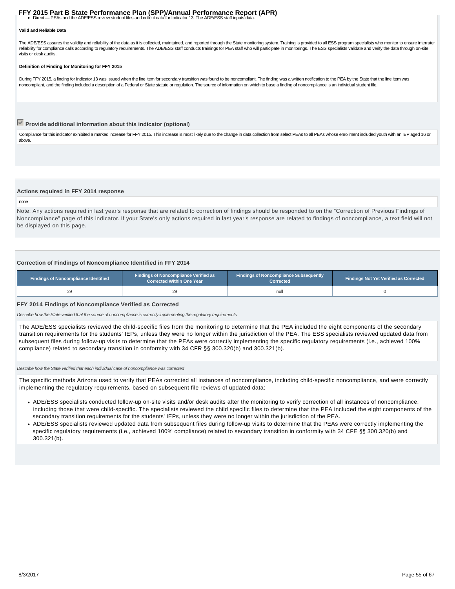# **FFY 2015 Part B State Performance Plan (SPP)/Annual Performance Report (APR)**<br>• Direct — PEAs and the ADE/ESS review student files and collect data for Indicator 13. The ADE/ESS staff inputs data.

#### **Valid and Reliable Data**

The ADE/ESS assures the validity and reliability of the data as it is collected, maintained, and reported through the State monitoring system. Training is provided to all ESS program specialists who monitor to ensure inter reliability for compliance calls according to regulatory requirements. The ADE/ESS staff conducts trainings for PEA staff who will participate in monitorings. The ESS specialists validate and verify the data through on-sit visits or desk audits.

#### **Definition of Finding for Monitoring for FFY 2015**

During FFY 2015, a finding for Indicator 13 was issued when the line item for secondary transition was found to be noncompliant. The finding was a written notification to the PEA by the State that the line item was noncompliant, and the finding included a description of a Federal or State statute or regulation. The source of information on which to base a finding of noncompliance is an individual student file.

# **Provide additional information about this indicator (optional)**

Compliance for this indicator exhibited a marked increase for FFY 2015. This increase is most likely due to the change in data collection from select PEAs to all PEAs whose enrollment included youth with an IEP aged 16 or above.

#### **Actions required in FFY 2014 response**

#### none

Note: Any actions required in last year's response that are related to correction of findings should be responded to on the "Correction of Previous Findings of Noncompliance" page of this indicator. If your State's only actions required in last year's response are related to findings of noncompliance, a text field will not be displayed on this page.

#### **Correction of Findings of Noncompliance Identified in FFY 2014**

| <b>Findings of Noncompliance Identified</b> | <b>Findings of Noncompliance Verified as</b><br><b>Corrected Within One Year</b> | <b>Findings of Noncompliance Subsequently</b><br>Corrected | <b>Findings Not Yet Verified as Corrected</b> |  |  |
|---------------------------------------------|----------------------------------------------------------------------------------|------------------------------------------------------------|-----------------------------------------------|--|--|
|                                             |                                                                                  | null                                                       |                                               |  |  |

#### **FFY 2014 Findings of Noncompliance Verified as Corrected**

Describe how the State verified that the source of noncompliance is correctly implementing the regulatory requirements

The ADE/ESS specialists reviewed the child-specific files from the monitoring to determine that the PEA included the eight components of the secondary transition requirements for the students' IEPs, unless they were no longer within the jurisdiction of the PEA. The ESS specialists reviewed updated data from subsequent files during follow-up visits to determine that the PEAs were correctly implementing the specific regulatory requirements (i.e., achieved 100% compliance) related to secondary transition in conformity with 34 CFR §§ 300.320(b) and 300.321(b).

#### Describe how the State verified that each individual case of noncompliance was corrected

The specific methods Arizona used to verify that PEAs corrected all instances of noncompliance, including child-specific noncompliance, and were correctly implementing the regulatory requirements, based on subsequent file reviews of updated data:

- ADE/ESS specialists conducted follow-up on-site visits and/or desk audits after the monitoring to verify correction of all instances of noncompliance, including those that were child-specific. The specialists reviewed the child specific files to determine that the PEA included the eight components of the secondary transition requirements for the students' IEPs, unless they were no longer within the jurisdiction of the PEA.
- ADE/ESS specialists reviewed updated data from subsequent files during follow-up visits to determine that the PEAs were correctly implementing the specific regulatory requirements (i.e., achieved 100% compliance) related to secondary transition in conformity with 34 CFE §§ 300.320(b) and 300.321(b).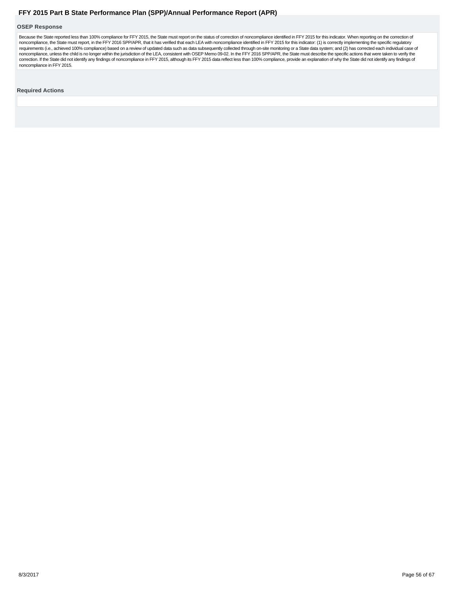#### <span id="page-55-0"></span>**OSEP Response**

Because the State reported less than 100% compliance for FFY 2015, the State must report on the status of correction of noncompliance identified in FFY 2015 for this indicator. When reporting on the correction of noncompliance, the State must report, in the FFY 2016 SPP/APR, that it has verified that each LEA with noncompliance identified in FFY 2015 for this indicator: (1) is correctly implementing the specific regulatory requirements (i.e., achieved 100% compliance) based on a review of updated data such as data subsequently collected through on-site monitoring or a State data system; and (2) has corrected each individual case of<br>noncompli

#### **Required Actions**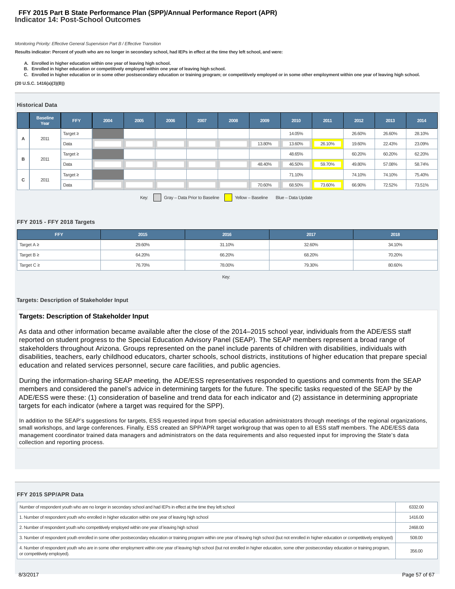# **Indicator 14: Post-School Outcomes FFY 2015 Part B State Performance Plan (SPP)/Annual Performance Report (APR)**

#### Monitoring Priority: Effective General Supervision Part B / Effective Transition

**Results indicator: Percent of youth who are no longer in secondary school, had IEPs in effect at the time they left school, and were:**

- **A. Enrolled in higher education within one year of leaving high school.**
- **B. Enrolled in higher education or competitively employed within one year of leaving high school.**
- **C. Enrolled in higher education or in some other postsecondary education or training program; or competitively employed or in some other employment within one year of leaving high school.**

#### **(20 U.S.C. 1416(a)(3)(B))**

#### **Historical Data**

|   | <b>Baseline</b><br>Year                                                          | FFY           | 2004 | 2005 | 2006 | 2007 | 2008 | 2009   | 2010   | 2011   | 2012   | 2013   | 2014   |
|---|----------------------------------------------------------------------------------|---------------|------|------|------|------|------|--------|--------|--------|--------|--------|--------|
| A | 2011                                                                             | Target $\geq$ |      |      |      |      |      |        | 14.05% |        | 26.60% | 26.60% | 28.10% |
|   |                                                                                  | Data          |      |      |      |      |      | 13.80% | 13.60% | 26.10% | 19.60% | 22.43% | 23.09% |
| B |                                                                                  | Target $\geq$ |      |      |      |      |      |        | 48.65% |        | 60.20% | 60.20% | 62.20% |
|   | 2011                                                                             | Data          |      |      |      |      |      | 48.40% | 46.50% | 59.70% | 49.80% | 57.08% | 58.74% |
|   |                                                                                  | Target $\geq$ |      |      |      |      |      |        | 71.10% |        | 74.10% | 74.10% | 75.40% |
|   | c<br>2011                                                                        | Data          |      |      |      |      |      | 70.60% | 68.50% | 73.60% | 66.90% | 72.52% | 73.51% |
|   | Gray - Data Prior to Baseline<br>Key:<br>Yellow - Baseline<br>Blue - Data Update |               |      |      |      |      |      |        |        |        |        |        |        |

#### **FFY 2015 - FFY 2018 Targets**

| <b>FFY</b>      | 2015   | 2016   | 2017   | 2018   |
|-----------------|--------|--------|--------|--------|
| Target $A \geq$ | 29.60% | 31.10% | 32.60% | 34.10% |
| Target $B \geq$ | 64.20% | 66.20% | 68.20% | 70.20% |
| Target $C \geq$ | 76.70% | 78.00% | 79.30% | 80.60% |

#### Key:

#### **Targets: Description of Stakeholder Input**

### **Targets: Description of Stakeholder Input**

As data and other information became available after the close of the 2014–2015 school year, individuals from the ADE/ESS staff reported on student progress to the Special Education Advisory Panel (SEAP). The SEAP members represent a broad range of stakeholders throughout Arizona. Groups represented on the panel include parents of children with disabilities, individuals with disabilities, teachers, early childhood educators, charter schools, school districts, institutions of higher education that prepare special education and related services personnel, secure care facilities, and public agencies.

During the information-sharing SEAP meeting, the ADE/ESS representatives responded to questions and comments from the SEAP members and considered the panel's advice in determining targets for the future. The specific tasks requested of the SEAP by the ADE/ESS were these: (1) consideration of baseline and trend data for each indicator and (2) assistance in determining appropriate targets for each indicator (where a target was required for the SPP).

In addition to the SEAP's suggestions for targets, ESS requested input from special education administrators through meetings of the regional organizations, small workshops, and large conferences. Finally, ESS created an SPP/APR target workgroup that was open to all ESS staff members. The ADE/ESS data management coordinator trained data managers and administrators on the data requirements and also requested input for improving the State's data collection and reporting process.

| FFY 2015 SPP/APR Data                                                                                                                                                                                                               |         |
|-------------------------------------------------------------------------------------------------------------------------------------------------------------------------------------------------------------------------------------|---------|
| Number of respondent youth who are no longer in secondary school and had IEPs in effect at the time they left school                                                                                                                | 6332.00 |
| 1. Number of respondent youth who enrolled in higher education within one year of leaving high school                                                                                                                               | 1416.00 |
| 2. Number of respondent youth who competitively employed within one year of leaving high school                                                                                                                                     | 2468.00 |
| 3. Number of respondent youth enrolled in some other postsecondary education or training program within one year of leaving high school (but not enrolled in higher education or competitively employed)                            | 508.00  |
| 4. Number of respondent youth who are in some other employment within one year of leaving high school (but not enrolled in higher education, some other postsecondary education or training program,<br>or competitively employed). | 356,00  |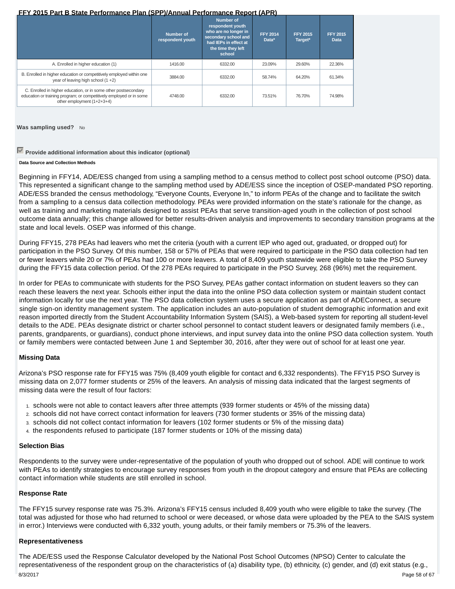|                                                                                                                                                                      | Number of<br>respondent youth | <b>Number of</b><br>respondent youth<br>who are no longer in<br>secondary school and<br>had IEPs in effect at<br>the time they left<br>school | <b>FFY 2014</b><br>Data* | <b>FFY 2015</b><br>Target* | <b>FFY 2015</b><br><b>Data</b> |
|----------------------------------------------------------------------------------------------------------------------------------------------------------------------|-------------------------------|-----------------------------------------------------------------------------------------------------------------------------------------------|--------------------------|----------------------------|--------------------------------|
| A. Enrolled in higher education (1)                                                                                                                                  | 1416.00                       | 6332.00                                                                                                                                       | 23.09%                   | 29.60%                     | 22.36%                         |
| B. Enrolled in higher education or competitively employed within one<br>year of leaving high school (1 +2)                                                           | 3884.00                       | 6332.00                                                                                                                                       | 58.74%                   | 64.20%                     | 61.34%                         |
| C. Enrolled in higher education, or in some other postsecondary<br>education or training program; or competitively employed or in some<br>other employment (1+2+3+4) | 4748.00                       | 6332.00                                                                                                                                       | 73.51%                   | 76.70%                     | 74.98%                         |

**Was sampling used?** No

# **Provide additional information about this indicator (optional)**

## **Data Source and Collection Methods**

Beginning in FFY14, ADE/ESS changed from using a sampling method to a census method to collect post school outcome (PSO) data. This represented a significant change to the sampling method used by ADE/ESS since the inception of OSEP-mandated PSO reporting. ADE/ESS branded the census methodology, "Everyone Counts, Everyone In," to inform PEAs of the change and to facilitate the switch from a sampling to a census data collection methodology. PEAs were provided information on the state's rationale for the change, as well as training and marketing materials designed to assist PEAs that serve transition-aged youth in the collection of post school outcome data annually; this change allowed for better results-driven analysis and improvements to secondary transition programs at the state and local levels. OSEP was informed of this change.

During FFY15, 278 PEAs had leavers who met the criteria (youth with a current IEP who aged out, graduated, or dropped out) for participation in the PSO Survey. Of this number, 158 or 57% of PEAs that were required to participate in the PSO data collection had ten or fewer leavers while 20 or 7% of PEAs had 100 or more leavers. A total of 8,409 youth statewide were eligible to take the PSO Survey during the FFY15 data collection period. Of the 278 PEAs required to participate in the PSO Survey, 268 (96%) met the requirement.

In order for PEAs to communicate with students for the PSO Survey, PEAs gather contact information on student leavers so they can reach these leavers the next year. Schools either input the data into the online PSO data collection system or maintain student contact information locally for use the next year. The PSO data collection system uses a secure application as part of ADEConnect, a secure single sign-on identity management system. The application includes an auto-population of student demographic information and exit reason imported directly from the Student Accountability Information System (SAIS), a Web-based system for reporting all student-level details to the ADE. PEAs designate district or charter school personnel to contact student leavers or designated family members (i.e., parents, grandparents, or guardians), conduct phone interviews, and input survey data into the online PSO data collection system. Youth or family members were contacted between June 1 and September 30, 2016, after they were out of school for at least one year.

# **Missing Data**

Arizona's PSO response rate for FFY15 was 75% (8,409 youth eligible for contact and 6,332 respondents). The FFY15 PSO Survey is missing data on 2,077 former students or 25% of the leavers. An analysis of missing data indicated that the largest segments of missing data were the result of four factors:

- 1. schools were not able to contact leavers after three attempts (939 former students or 45% of the missing data)
- 2. schools did not have correct contact information for leavers (730 former students or 35% of the missing data)
- 3. schools did not collect contact information for leavers (102 former students or 5% of the missing data)
- 4. the respondents refused to participate (187 former students or 10% of the missing data)

# **Selection Bias**

Respondents to the survey were under-representative of the population of youth who dropped out of school. ADE will continue to work with PEAs to identify strategies to encourage survey responses from youth in the dropout category and ensure that PEAs are collecting contact information while students are still enrolled in school.

# **Response Rate**

The FFY15 survey response rate was 75.3%. Arizona's FFY15 census included 8,409 youth who were eligible to take the survey. (The total was adjusted for those who had returned to school or were deceased, or whose data were uploaded by the PEA to the SAIS system in error.) Interviews were conducted with 6,332 youth, young adults, or their family members or 75.3% of the leavers.

# **Representativeness**

The ADE/ESS used the Response Calculator developed by the National Post School Outcomes (NPSO) Center to calculate the representativeness of the respondent group on the characteristics of (a) disability type, (b) ethnicity, (c) gender, and (d) exit status (e.g., 8/3/2017 Page 58 of 67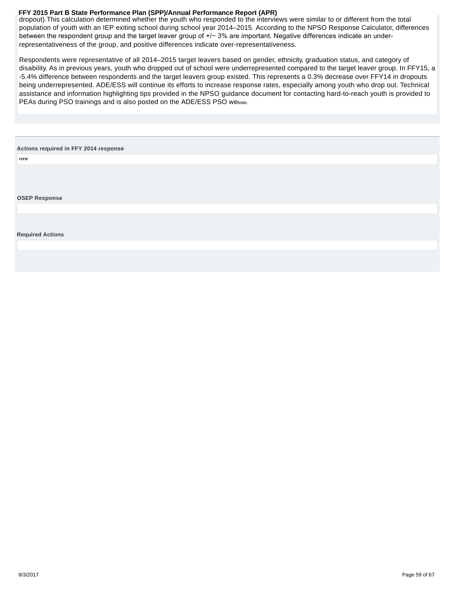<span id="page-58-0"></span>dropout).This calculation determined whether the youth who responded to the interviews were similar to or different from the total population of youth with an IEP exiting school during school year 2014–2015. According to the NPSO Response Calculator, differences between the respondent group and the target leaver group of +/− 3% are important. Negative differences indicate an underrepresentativeness of the group, and positive differences indicate over-representativeness.

Respondents were representative of all 2014–2015 target leavers based on gender, ethnicity, graduation status, and category of disability. As in previous years, youth who dropped out of school were underrepresented compared to the target leaver group. In FFY15, a -5.4% difference between respondents and the target leavers group existed. This represents a 0.3% decrease over FFY14 in dropouts being underrepresented. ADE/ESS will continue its efforts to increase response rates, especially among youth who drop out. Technical assistance and information highlighting tips provided in the NPSO guidance document for contacting hard-to-reach youth is provided to PEAs during PSO trainings and is also posted on the ADE/ESS PSO website.

#### **Actions required in FFY 2014 response**

none

**OSEP Response**

#### **Required Actions**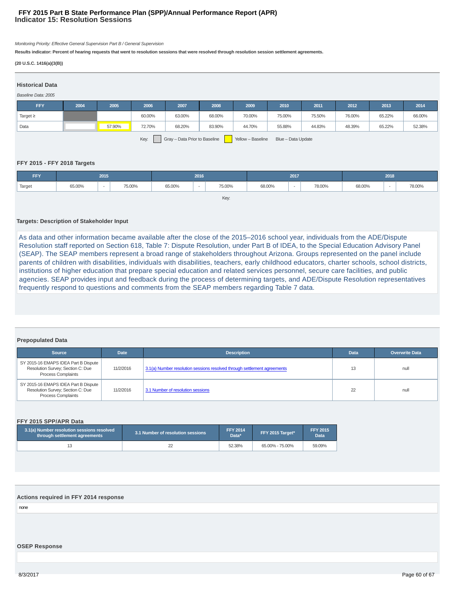# **Indicator 15: Resolution Sessions FFY 2015 Part B State Performance Plan (SPP)/Annual Performance Report (APR)**

Monitoring Priority: Effective General Supervision Part B / General Supervision

**Results indicator: Percent of hearing requests that went to resolution sessions that were resolved through resolution session settlement agreements.**

#### **(20 U.S.C. 1416(a)(3(B))**

| <b>Historical Data</b>                                                           |      |        |        |        |        |        |        |        |        |        |        |
|----------------------------------------------------------------------------------|------|--------|--------|--------|--------|--------|--------|--------|--------|--------|--------|
| Baseline Data: 2005                                                              |      |        |        |        |        |        |        |        |        |        |        |
|                                                                                  |      |        |        |        |        |        |        |        |        |        |        |
| <b>FFY</b>                                                                       | 2004 | 2005   | 2006   | 2007   | 2008   | 2009   | 2010   | 2011   | 2012   | 2013   | 2014   |
| Target $\geq$                                                                    |      |        | 60.00% | 63.00% | 68.00% | 70.00% | 75.00% | 75.50% | 76.00% | 65.22% | 66.00% |
| Data                                                                             |      | 57.90% | 72.70% | 68.20% | 83.90% | 44.70% | 55.88% | 44.83% | 48.39% | 65.22% | 52.38% |
| Gray - Data Prior to Baseline<br>Key:<br>Yellow - Baseline<br>Blue - Data Update |      |        |        |        |        |        |        |        |        |        |        |

# **FFY 2015 - FFY 2018 Targets**

| <b>FFY</b> | 2015   |        | 2016   |        | 2017                     |             |        | 2018   |        |        |                          |        |
|------------|--------|--------|--------|--------|--------------------------|-------------|--------|--------|--------|--------|--------------------------|--------|
| Target     | 65.00% | $\sim$ | 75.00% | 65.00% | $\overline{\phantom{a}}$ | 75.00%<br>. | 68.00% | $\sim$ | 78.00% | 68.00% | $\overline{\phantom{a}}$ | 78.00% |
|            |        |        |        |        |                          | Key:        |        |        |        |        |                          |        |

# **Targets: Description of Stakeholder Input**

As data and other information became available after the close of the 2015–2016 school year, individuals from the ADE/Dispute Resolution staff reported on Section 618, Table 7: Dispute Resolution, under Part B of IDEA, to the Special Education Advisory Panel (SEAP). The SEAP members represent a broad range of stakeholders throughout Arizona. Groups represented on the panel include parents of children with disabilities, individuals with disabilities, teachers, early childhood educators, charter schools, school districts, institutions of higher education that prepare special education and related services personnel, secure care facilities, and public agencies. SEAP provides input and feedback during the process of determining targets, and ADE/Dispute Resolution representatives frequently respond to questions and comments from the SEAP members regarding Table 7 data.

# **Prepopulated Data**

| <b>Source</b>                                                                                            | <b>Date</b> | <b>Description</b>                                                       | <b>Data</b> | <b>Overwrite Data</b> |
|----------------------------------------------------------------------------------------------------------|-------------|--------------------------------------------------------------------------|-------------|-----------------------|
| SY 2015-16 EMAPS IDEA Part B Dispute<br>Resolution Survey; Section C: Due<br><b>Process Complaints</b>   | 11/2/2016   | 3.1(a) Number resolution sessions resolved through settlement agreements | 13          | null                  |
| SY 2015-16 EMAPS IDEA Part B Dispute  <br>Resolution Survey; Section C: Due<br><b>Process Complaints</b> | 11/2/2016   | 3.1 Number of resolution sessions                                        | 22          | null                  |

#### **FFY 2015 SPP/APR Data**

| 3.1(a) Number resolution sessions resolved<br>through settlement agreements | 3.1 Number of resolution sessions | <b>FFY 2014</b><br>Data* | FFY 2015 Target* | <b>FFY 2015</b><br>Data |
|-----------------------------------------------------------------------------|-----------------------------------|--------------------------|------------------|-------------------------|
| 13                                                                          |                                   | 52.38%                   | 65.00% - 75.00%  | 59.09%                  |

#### **Actions required in FFY 2014 response**

none

### **OSEP Response**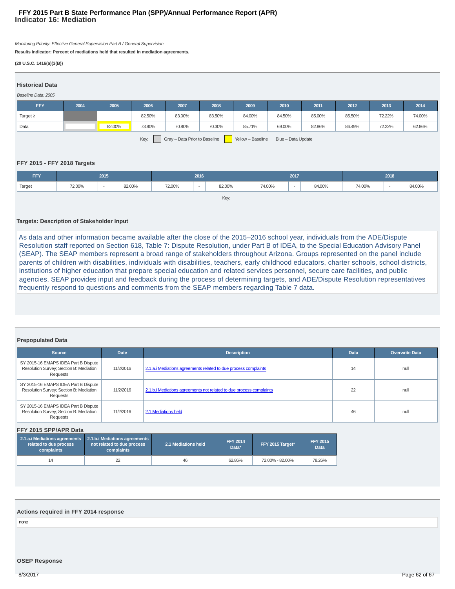# **Indicator 16: Mediation FFY 2015 Part B State Performance Plan (SPP)/Annual Performance Report (APR)**

Monitoring Priority: Effective General Supervision Part B / General Supervision

**Results indicator: Percent of mediations held that resulted in mediation agreements.**

#### **(20 U.S.C. 1416(a)(3(B))**

| <b>Historical Data</b>                                                           |      |        |        |        |        |        |        |        |        |        |        |
|----------------------------------------------------------------------------------|------|--------|--------|--------|--------|--------|--------|--------|--------|--------|--------|
| Baseline Data: 2005                                                              |      |        |        |        |        |        |        |        |        |        |        |
| <b>FFY</b>                                                                       | 2004 | 2005   | 2006   | 2007   | 2008   | 2009   | 2010   | 2011   | 2012   | 2013   | 2014   |
| Target $\geq$                                                                    |      |        | 82.50% | 83.00% | 83.50% | 84.00% | 84.50% | 85.00% | 85.50% | 72.22% | 74.00% |
| Data                                                                             |      | 82.00% | 73.90% | 70.80% | 70.30% | 85.71% | 69.00% | 82.86% | 86.49% | 72.22% | 62.86% |
| Gray - Data Prior to Baseline<br>Key:<br>Yellow - Baseline<br>Blue - Data Update |      |        |        |        |        |        |        |        |        |        |        |

### **FFY 2015 - FFY 2018 Targets**

| <b>FFY</b> | 2015   |        | 2016   |        | 2017                     |        |        | 2018   |        |        |                          |        |
|------------|--------|--------|--------|--------|--------------------------|--------|--------|--------|--------|--------|--------------------------|--------|
| Target     | 72.00% | $\sim$ | 82.00% | 72.00% | $\overline{\phantom{a}}$ | 82.00% | 74.00% | $\sim$ | 84.00% | 74.00% | $\overline{\phantom{a}}$ | 84.00% |
|            |        |        |        |        |                          | Key:   |        |        |        |        |                          |        |

# **Targets: Description of Stakeholder Input**

As data and other information became available after the close of the 2015–2016 school year, individuals from the ADE/Dispute Resolution staff reported on Section 618, Table 7: Dispute Resolution, under Part B of IDEA, to the Special Education Advisory Panel (SEAP). The SEAP members represent a broad range of stakeholders throughout Arizona. Groups represented on the panel include parents of children with disabilities, individuals with disabilities, teachers, early childhood educators, charter schools, school districts, institutions of higher education that prepare special education and related services personnel, secure care facilities, and public agencies. SEAP provides input and feedback during the process of determining targets, and ADE/Dispute Resolution representatives frequently respond to questions and comments from the SEAP members regarding Table 7 data.

# **Prepopulated Data**

| Source                                                                                      | <b>Date</b> | <b>Description</b>                                                  | <b>Data</b> | <b>Overwrite Data</b> |
|---------------------------------------------------------------------------------------------|-------------|---------------------------------------------------------------------|-------------|-----------------------|
| SY 2015-16 EMAPS IDEA Part B Dispute<br>Resolution Survey; Section B: Mediation<br>Requests | 11/2/2016   | 2.1.a.i Mediations agreements related to due process complaints     | 14          | null                  |
| SY 2015-16 EMAPS IDEA Part B Dispute<br>Resolution Survey; Section B: Mediation<br>Requests | 11/2/2016   | 2.1.b. iMediations agreements not related to due process complaints | 22          | null                  |
| SY 2015-16 EMAPS IDEA Part B Dispute<br>Resolution Survey; Section B: Mediation<br>Requests | 11/2/2016   | 2.1 Mediations held                                                 | 46          | null                  |

#### **FFY 2015 SPP/APR Data**

| related to due process<br>complaints | 2.1.a. i Mediations agreements 2.1.b. i Mediations agreements<br>not related to due process<br>complaints | 2.1 Mediations held | <b>FFY 2014</b><br>Data* | FFY 2015 Target* | <b>FFY 2015</b><br><b>Data</b> |
|--------------------------------------|-----------------------------------------------------------------------------------------------------------|---------------------|--------------------------|------------------|--------------------------------|
| 14                                   |                                                                                                           | 46                  | 62.86%                   | 72.00% - 82.00%  | 78.26%                         |

#### **Actions required in FFY 2014 response**

none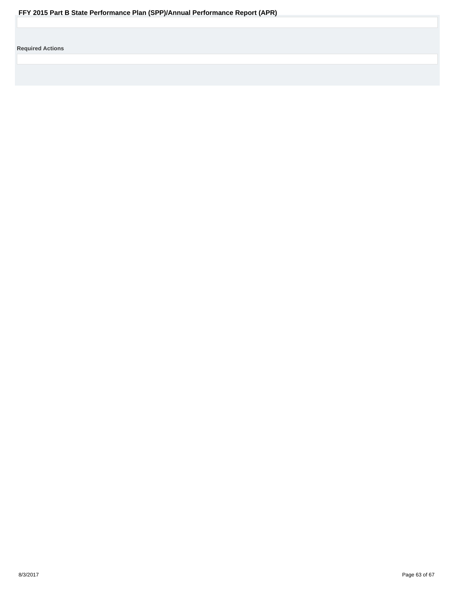<span id="page-62-0"></span>**Required Actions**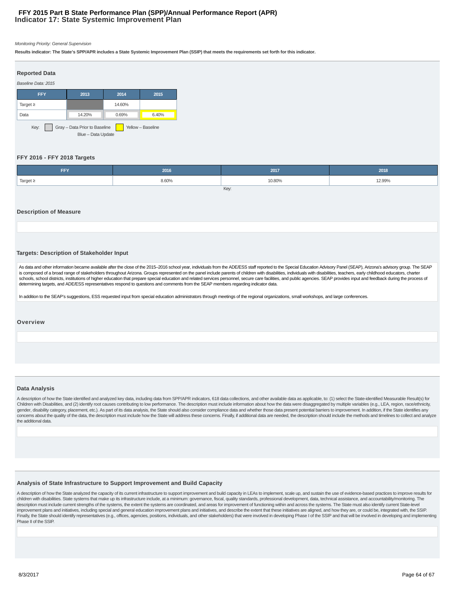# **Indicator 17: State Systemic Improvement Plan FFY 2015 Part B State Performance Plan (SPP)/Annual Performance Report (APR)**

#### Monitoring Priority: General Supervision

**Results indicator: The State's SPP/APR includes a State Systemic Improvement Plan (SSIP) that meets the requirements set forth for this indicator.**

| <b>Reported Data</b>                                                             |                 |        |       |  |  |  |
|----------------------------------------------------------------------------------|-----------------|--------|-------|--|--|--|
| Baseline Data: 2015                                                              |                 |        |       |  |  |  |
| <b>FFY</b>                                                                       | 2013            | 2014   | 2015  |  |  |  |
| Target $\geq$                                                                    |                 | 14.60% |       |  |  |  |
| Data                                                                             | 14.20%<br>0.69% |        | 6.40% |  |  |  |
| Gray - Data Prior to Baseline<br>Key:<br>Yellow - Baseline<br>Blue - Data Update |                 |        |       |  |  |  |

#### **FFY 2016 - FFY 2018 Targets**

| <b>FFY</b>    | 2016  | 2017   | 2018   |  |  |
|---------------|-------|--------|--------|--|--|
| Target $\geq$ | 8.60% | 10.80% | 12.99% |  |  |
| Key:          |       |        |        |  |  |

#### **Description of Measure**

**Targets: Description of Stakeholder Input**

As data and other information became available after the close of the 2015-2016 school year, individuals from the ADE/ESS staff reported to the Special Education Advisory Panel (SEAP), Arizona's advisory group. The SEAP is composed of a broad range of stakeholders throughout Arizona. Groups represented on the panel include parents of children with disabilities, individuals with disabilities, teachers, early childhood educators, charter schools, school districts, institutions of higher education that prepare special education and related services personnel, secure care facilities, and public agencies. SEAP provides input and feedback during the process of determining targets, and ADE/ESS representatives respond to questions and comments from the SEAP members regarding indicator data.

In addition to the SEAP's suggestions, ESS requested input from special education administrators through meetings of the regional organizations, small workshops, and large conferences.

#### **Overview**

#### **Data Analysis**

A description of how the State identified and analyzed key data, including data from SPP/APR indicators, 618 data collections, and other available data as applicable, to: (1) select the State-identified Measurable Result(s Children with Disabilities, and (2) identify root causes contributing to low performance. The description must include information about how the data were disaggregated by multiple variables (e.g., LEA, region, race/ethnic gender, disability category, placement, etc.). As part of its data analysis, the State should also consider compliance data and whether those data present potential barriers to improvement. In addition, if the State identi concerns about the quality of the data, the description must include how the State will address these concerns. Finally, if additional data are needed, the description should include the methods and timelines to collect an the additional data.

#### **Analysis of State Infrastructure to Support Improvement and Build Capacity**

A description of how the State analyzed the capacity of its current infrastructure to support improvement and build capacity in LEAs to implement, scale up, and sustain the use of evidence-based practices to improve result children with disabilities. State systems that make up its infrastructure include, at a minimum: governance, fiscal, quality standards, professional development, data, technical assistance, and accountability/monitoring. T description must include current strengths of the systems, the extent the systems are coordinated, and areas for improvement of functioning within and across the systems. The State must also identify current State-level improvement plans and initiatives, including special and general education improvement plans and initiatives, and describe the extent that these initiatives are aligned, and how they are, or could be, integrated with, the Finally, the State should identify representatives (e.g., offices, agencies, positions, individuals, and other stakeholders) that were involved in developing Phase I of the SSIP and that will be involved in developing and Phase II of the SSIP.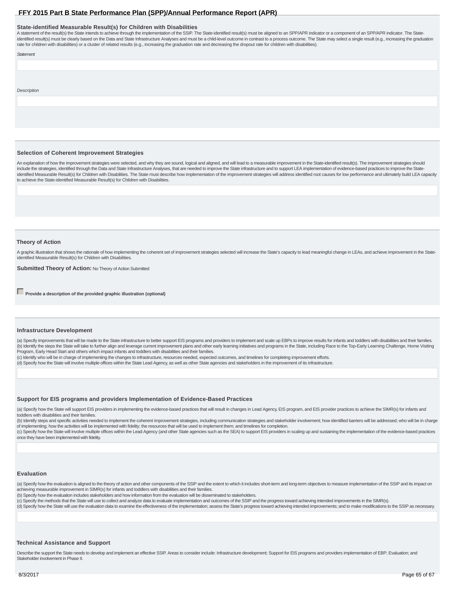#### **State-identified Measurable Result(s) for Children with Disabilities**

A statement of the result(s) the State intends to achieve through the implementation of the SSIP. The State-identified result(s) must be aligned to an SPP/APR indicator or a component of an SPP/APR indicator. The Stateidentified result(s) must be clearly based on the Data and State Infrastructure Analyses and must be a child-level outcome in contrast to a process outcome. The State may select a single result (e.g., increasing the gradua rate for children with disabilities) or a cluster of related results (e.g., increasing the graduation rate and decreasing the dropout rate for children with disabilities).

Statement

Description

#### **Selection of Coherent Improvement Strategies**

An explanation of how the improvement strategies were selected, and why they are sound, logical and aligned, and will lead to a measurable improvement in the State-identified result(s). The improvement strategies should include the strategies, identified through the Data and State Infrastructure Analyses, that are needed to improve the State-infrastructure and to support LEA implementation of evidence-based practices to improve the Stateidentified Measurable Result(s) for Children with Disabilities. The State must describe how implementation of the improvement strategies will address identified root causes for low performance and ultimately build LEA capa to achieve the State-identified Measurable Result(s) for Children with Disabilities.

#### **Theory of Action**

A graphic illustration that shows the rationale of how implementing the coherent set of improvement strategies selected will increase the State's capacity to lead meaningful change in LEAs, and achieve improvement in the S identified Measurable Result(s) for Children with Disabilities.

**Submitted Theory of Action: No Theory of Action Submitted** 

**Provide a description of the provided graphic illustration (optional)** 

#### **Infrastructure Development**

(a) Specify improvements that will be made to the State infrastructure to better support EIS programs and providers to implement and scale up EBPs to improve results for infants and toddlers with disabilities and their fam (b) Identify the steps the State will take to further align and leverage current improvement plans and other early learning initiatives and programs in the State, including Race to the Top-Early Learning Challenge, Home Vi Program, Early Head Start and others which impact infants and toddlers with disabilities and their families.

(c) Identify who will be in charge of implementing the changes to infrastructure, resources needed, expected outcomes, and timelines for completing improvement efforts.

(d) Specify how the State will involve multiple offices within the State Lead Agency, as well as other State agencies and stakeholders in the improvement of its infrastructure.

#### **Support for EIS programs and providers Implementation of Evidence-Based Practices**

(a) Specify how the State will support EIS providers in implementing the evidence-based practices that will result in changes in Lead Agency, EIS program, and EIS provider practices to achieve the SIMR(s) for infants and toddlers with disabilities and their families.

(b) Identify steps and specific activities needed to implement the coherent improvement strategies, including communication strategies and stakeholder involvement; how identified barriers will be addressed; who will be in of implementing; how the activities will be implemented with fidelity; the resources that will be used to implement them; and timelines for completion.

(c) Specify how the State will involve multiple offices within the Lead Agency (and other State agencies such as the SEA) to support EIS providers in scaling up and sustaining the implementation of the evidence-based pract once they have been implemented with fidelity.

#### **Evaluation**

(a) Specify how the evaluation is aligned to the theory of action and other components of the SSIP and the extent to which it includes short-term and long-term objectives to measure implementation of the SSIP and its impac achieving measurable improvement in SIMR(s) for infants and toddlers with disabilities and their families.

(b) Specify how the evaluation includes stakeholders and how information from the evaluation will be disseminated to stakeholders.

(c) Specify the methods that the State will use to collect and analyze data to evaluate implementation and outcomes of the SSIP and the progress toward achieving intended improvements in the SIMR(s).

(d) Specify how the State will use the evaluation data to examine the effectiveness of the implementation; assess the State's progress toward achieving intended improvements; and to make modifications to the SSIP as necess

#### **Technical Assistance and Support**

Describe the support the State needs to develop and implement an effective SSIP. Areas to consider include: Infrastructure development; Support for EIS programs and providers implementation of EBP; Evaluation; and Stakeholder involvement in Phase II.